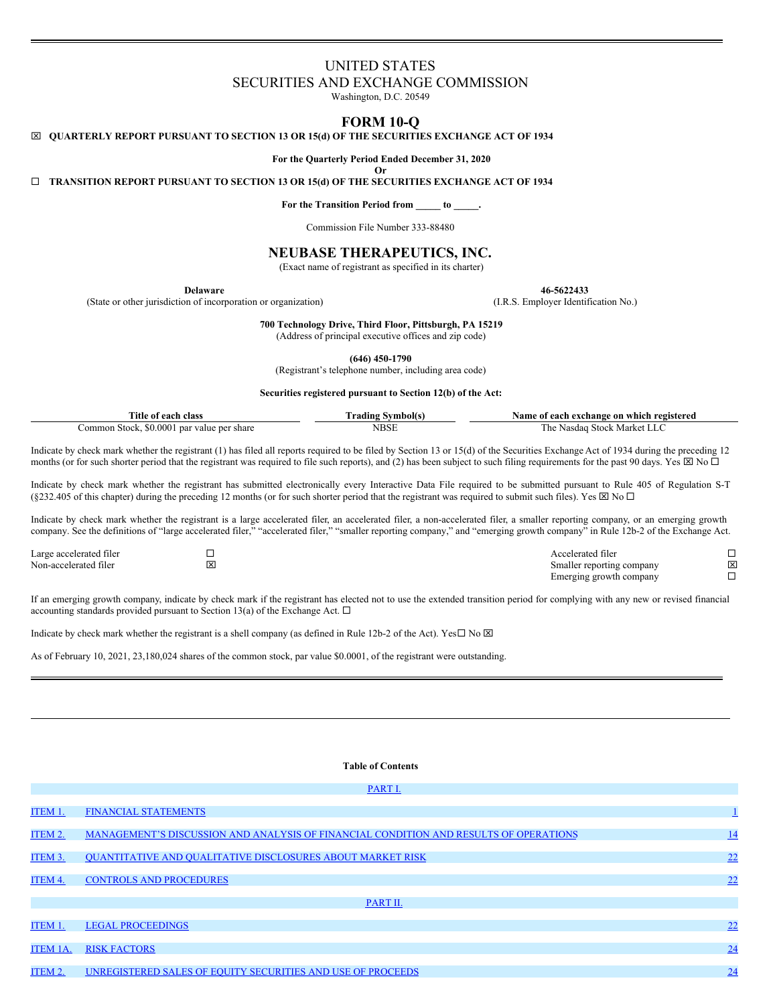# UNITED STATES SECURITIES AND EXCHANGE COMMISSION

Washington, D.C. 20549

# **FORM 10-Q**

x **QUARTERLY REPORT PURSUANT TO SECTION 13 OR 15(d) OF THE SECURITIES EXCHANGE ACT OF 1934**

#### **For the Quarterly Period Ended December 31, 2020 Or**

¨ **TRANSITION REPORT PURSUANT TO SECTION 13 OR 15(d) OF THE SECURITIES EXCHANGE ACT OF 1934**

**For the Transition Period from \_\_\_\_\_ to \_\_\_\_\_.**

Commission File Number 333-88480

# **NEUBASE THERAPEUTICS, INC.**

(Exact name of registrant as specified in its charter)

(State or other jurisdiction of incorporation or organization) (I.R.S. Employer Identification No.)

**Delaware 46-5622433**

**700 Technology Drive, Third Floor, Pittsburgh, PA 15219**

(Address of principal executive offices and zip code)

**(646) 450-1790**

(Registrant's telephone number, including area code)

**Securities registered pursuant to Section 12(b) of the Act:**

| ïtle<br>class<br>0.00h<br>01                        |      | registered<br>vhıch<br>$\sqrt{am}$<br>∙ ∩n<br>exchange<br>each<br>$\mathbf{v}$ |
|-----------------------------------------------------|------|--------------------------------------------------------------------------------|
| .000<br>ommon<br>stoc'<br>par value<br>nei<br>share | 55 F | , he<br>∴ Marke* i<br>. stoek.<br>-Nasdac                                      |

Indicate by check mark whether the registrant (1) has filed all reports required to be filed by Section 13 or 15(d) of the Securities Exchange Act of 1934 during the preceding 12 months (or for such shorter period that the registrant was required to file such reports), and (2) has been subject to such filing requirements for the past 90 days. Yes  $\boxtimes$  No  $\Box$ 

Indicate by check mark whether the registrant has submitted electronically every Interactive Data File required to be submitted pursuant to Rule 405 of Regulation S-T (§232.405 of this chapter) during the preceding 12 months (or for such shorter period that the registrant was required to submit such files). Yes  $\boxtimes$  No  $\Box$ 

Indicate by check mark whether the registrant is a large accelerated filer, an accelerated filer, a non-accelerated filer, a smaller reporting company, or an emerging growth company. See the definitions of "large accelerated filer," "accelerated filer," "smaller reporting company," and "emerging growth company" in Rule 12b-2 of the Exchange Act.

| Large accelerated filer |    | Accelerated filer         |   |
|-------------------------|----|---------------------------|---|
| Non-accelerated filer   | Ι× | Smaller reporting company | × |
|                         |    | Emerging growth company   |   |

If an emerging growth company, indicate by check mark if the registrant has elected not to use the extended transition period for complying with any new or revised financial accounting standards provided pursuant to Section 13(a) of the Exchange Act.  $\Box$ 

Indicate by check mark whether the registrant is a shell company (as defined in Rule 12b-2 of the Act). Yes $\Box$  No  $\boxtimes$ 

As of February 10, 2021, 23,180,024 shares of the common stock, par value \$0.0001, of the registrant were outstanding.

**Table of Contents** [PART](#page-1-0) I.

|                 | 1710 L                                                                                |         |
|-----------------|---------------------------------------------------------------------------------------|---------|
| ITEM 1.         | <b>FINANCIAL STATEMENTS</b>                                                           | $\perp$ |
| ITEM 2.         | MANAGEMENT'S DISCUSSION AND ANALYSIS OF FINANCIAL CONDITION AND RESULTS OF OPERATIONS | 14      |
| ITEM 3.         | <b>OUANTITATIVE AND QUALITATIVE DISCLOSURES ABOUT MARKET RISK</b>                     | 22      |
| ITEM 4.         | <b>CONTROLS AND PROCEDURES</b>                                                        | 22      |
|                 | PART II.                                                                              |         |
| ITEM 1.         | <b>LEGAL PROCEEDINGS</b>                                                              | 22      |
| <b>ITEM 1A.</b> | <b>RISK FACTORS</b>                                                                   | 24      |
| ITEM 2.         | UNREGISTERED SALES OF EQUITY SECURITIES AND USE OF PROCEEDS                           | 24      |
|                 |                                                                                       |         |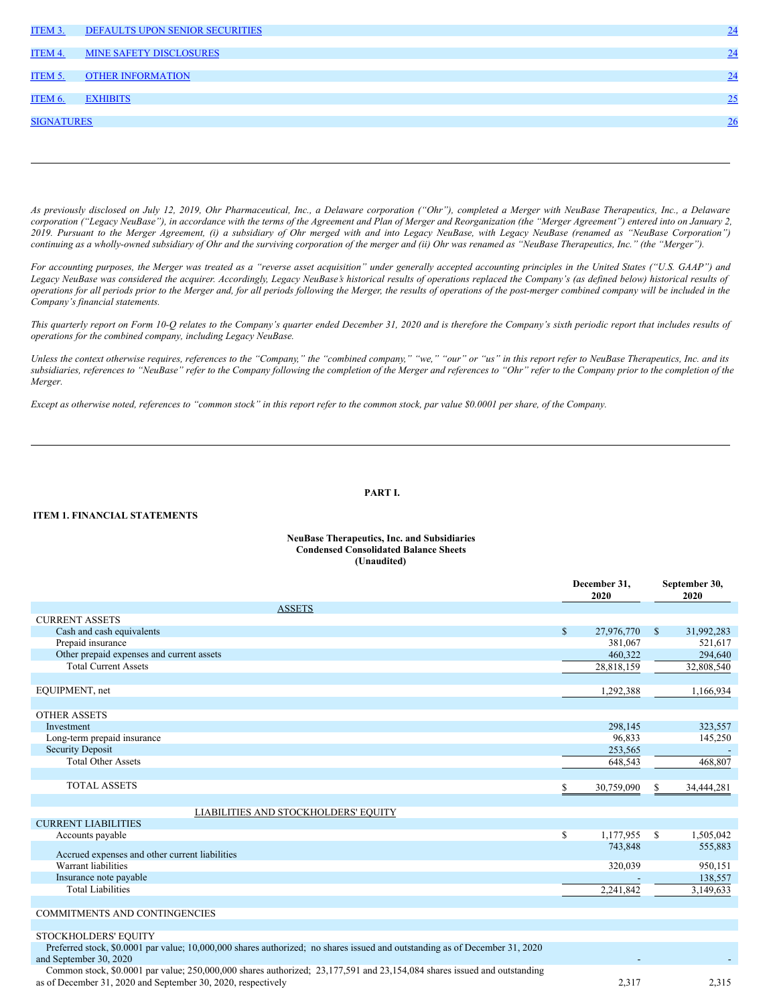| ITEM 3.           | DEFAULTS UPON SENIOR SECURITIES | 24 |
|-------------------|---------------------------------|----|
| ITEM 4.           | <b>MINE SAFETY DISCLOSURES</b>  | 24 |
| ITEM 5.           | <b>OTHER INFORMATION</b>        | 24 |
| ITEM 6.           | <b>EXHIBITS</b>                 | 25 |
| <b>SIGNATURES</b> |                                 | 26 |

As previously disclosed on July 12, 2019, Ohr Pharmaceutical, Inc., a Delaware corporation ("Ohr"), completed a Merger with NeuBase Therapeutics, Inc., a Delaware corporation ("Legacy NeuBase"), in accordance with the terms of the Agreement and Plan of Merger and Reorganization (the "Merger Agreement") entered into on January 2, 2019. Pursuant to the Merger Agreement, (i) a subsidiary of Ohr merged with and into Legacy NeuBase, with Legacy NeuBase (renamed as "NeuBase Corporation") continuing as a wholly-owned subsidiary of Ohr and the surviving corporation of the merger and (ii) Ohr was renamed as "NeuBase Therapeutics, Inc." (the "Merger").

For accounting purposes, the Merger was treated as a "reverse asset acquisition" under generally accepted accounting principles in the United States ("U.S. GAAP") and Legacy NeuBase was considered the acquirer. Accordingly, Legacy NeuBase's historical results of operations replaced the Company's (as defined below) historical results of operations for all periods prior to the Merger and, for all periods following the Merger, the results of operations of the post-merger combined company will be included in the *Company's financial statements.*

This quarterly report on Form 10-Q relates to the Company's quarter ended December 31, 2020 and is therefore the Company's sixth periodic report that includes results of *operations for the combined company, including Legacy NeuBase.*

Unless the context otherwise requires, references to the "Company," the "combined company," "we," "our" or "us" in this report refer to NeuBase Therapeutics, Inc. and its subsidiaries, references to "NeuBase" refer to the Company following the completion of the Merger and references to "Ohr" refer to the Company prior to the completion of the *Merger.*

Except as otherwise noted, references to "common stock" in this report refer to the common stock, par value \$0.0001 per share, of the Company.

# <span id="page-1-0"></span>**PART I.**

### <span id="page-1-1"></span>**ITEM 1. FINANCIAL STATEMENTS**

### **NeuBase Therapeutics, Inc. and Subsidiaries Condensed Consolidated Balance Sheets (Unaudited)**

|                                                |             | December 31,<br>2020 |               |            |  | September 30,<br>2020 |
|------------------------------------------------|-------------|----------------------|---------------|------------|--|-----------------------|
| <b>ASSETS</b>                                  |             |                      |               |            |  |                       |
| <b>CURRENT ASSETS</b>                          |             |                      |               |            |  |                       |
| Cash and cash equivalents                      | $\mathbf S$ | 27,976,770           | <sup>\$</sup> | 31,992,283 |  |                       |
| Prepaid insurance                              |             | 381,067              |               | 521,617    |  |                       |
| Other prepaid expenses and current assets      |             | 460,322              |               | 294,640    |  |                       |
| <b>Total Current Assets</b>                    |             | 28,818,159           |               | 32,808,540 |  |                       |
|                                                |             |                      |               |            |  |                       |
| EQUIPMENT, net                                 |             | 1,292,388            |               | 1,166,934  |  |                       |
|                                                |             |                      |               |            |  |                       |
| <b>OTHER ASSETS</b>                            |             |                      |               |            |  |                       |
| Investment                                     |             | 298,145              |               | 323,557    |  |                       |
| Long-term prepaid insurance                    |             | 96,833               |               | 145,250    |  |                       |
| <b>Security Deposit</b>                        |             | 253,565              |               |            |  |                       |
| <b>Total Other Assets</b>                      |             | 648,543              |               | 468,807    |  |                       |
|                                                |             |                      |               |            |  |                       |
| <b>TOTAL ASSETS</b>                            |             | 30,759,090           | S             | 34,444,281 |  |                       |
|                                                |             |                      |               |            |  |                       |
| LIABILITIES AND STOCKHOLDERS' EQUITY           |             |                      |               |            |  |                       |
| <b>CURRENT LIABILITIES</b>                     |             |                      |               |            |  |                       |
| Accounts payable                               | \$          | 1,177,955            | $\mathbb{S}$  | 1,505,042  |  |                       |
|                                                |             | 743,848              |               | 555,883    |  |                       |
| Accrued expenses and other current liabilities |             |                      |               |            |  |                       |
| Warrant liabilities                            |             | 320,039              |               | 950,151    |  |                       |
| Insurance note payable                         |             |                      |               | 138,557    |  |                       |
| <b>Total Liabilities</b>                       |             | 2,241,842            |               | 3,149,633  |  |                       |
|                                                |             |                      |               |            |  |                       |
| <b>COMMITMENTS AND CONTINGENCIES</b>           |             |                      |               |            |  |                       |

### STOCKHOLDERS' EQUITY

Preferred stock, \$0.0001 par value; 10,000,000 shares authorized; no shares issued and outstanding as of December 31, 2020 and September 30, 2020 Common stock, \$0.0001 par value; 250,000,000 shares authorized; 23,177,591 and 23,154,084 shares issued and outstanding

as of December 31, 2020 and September 30, 2020, respectively 2,315 2,315 2,315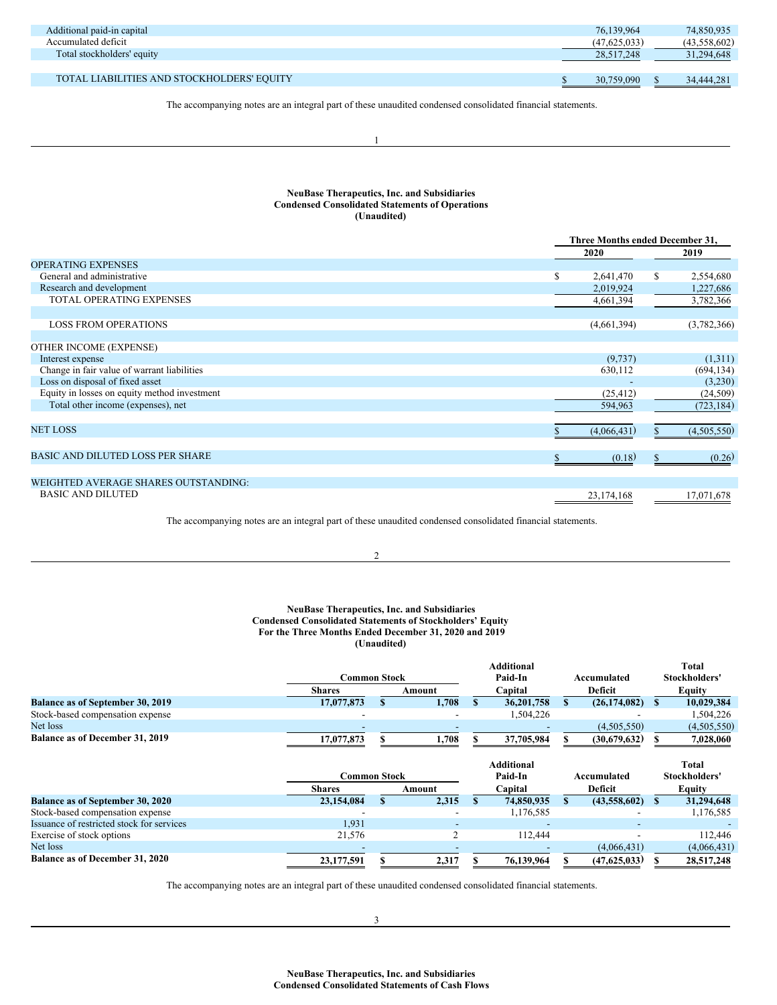| Additional paid-in capital                 | 76,139,964   | 74,850,935     |
|--------------------------------------------|--------------|----------------|
| Accumulated deficit                        | (47,625,033) | (43, 558, 602) |
| Total stockholders' equity                 | 28.517.248   | 31.294.648     |
|                                            |              |                |
| TOTAL LIABILITIES AND STOCKHOLDERS' EQUITY | 30.759,090   | 34,444,281     |
|                                            |              |                |

The accompanying notes are an integral part of these unaudited condensed consolidated financial statements.

1

### **NeuBase Therapeutics, Inc. and Subsidiaries Condensed Consolidated Statements of Operations (Unaudited)**

|                                              | Three Months ended December 31, |    |             |
|----------------------------------------------|---------------------------------|----|-------------|
|                                              | 2020                            |    | 2019        |
| <b>OPERATING EXPENSES</b>                    |                                 |    |             |
| General and administrative                   | \$<br>2,641,470                 | \$ | 2,554,680   |
| Research and development                     | 2,019,924                       |    | 1,227,686   |
| TOTAL OPERATING EXPENSES                     | 4,661,394                       |    | 3,782,366   |
| <b>LOSS FROM OPERATIONS</b>                  | (4,661,394)                     |    | (3,782,366) |
| OTHER INCOME (EXPENSE)                       |                                 |    |             |
| Interest expense                             | (9, 737)                        |    | (1,311)     |
| Change in fair value of warrant liabilities  | 630,112                         |    | (694, 134)  |
| Loss on disposal of fixed asset              |                                 |    | (3,230)     |
| Equity in losses on equity method investment | (25, 412)                       |    | (24, 509)   |
| Total other income (expenses), net           | 594,963                         |    | (723, 184)  |
| <b>NET LOSS</b>                              | (4,066,431)                     | S. | (4,505,550) |
| <b>BASIC AND DILUTED LOSS PER SHARE</b>      | (0.18)                          |    | (0.26)      |
| WEIGHTED AVERAGE SHARES OUTSTANDING:         |                                 |    |             |
| <b>BASIC AND DILUTED</b>                     |                                 |    |             |
|                                              | 23, 174, 168                    |    | 17,071,678  |

The accompanying notes are an integral part of these unaudited condensed consolidated financial statements.

2

## **NeuBase Therapeutics, Inc. and Subsidiaries Condensed Consolidated Statements of Stockholders' Equity For the Three Months Ended December 31, 2020 and 2019 (Unaudited)**

|                                           | <b>Common Stock</b> |        |   | <b>Additional</b><br>Paid-In | Accumulated    |              | <b>Total</b><br>Stockholders' |
|-------------------------------------------|---------------------|--------|---|------------------------------|----------------|--------------|-------------------------------|
|                                           | <b>Shares</b>       | Amount |   | Capital                      | Deficit        |              | Equity                        |
| Balance as of September 30, 2019          | 17,077,873          | 1,708  |   | 36,201,758                   | (26, 174, 082) | $\mathbf{s}$ | 10,029,384                    |
| Stock-based compensation expense          |                     |        |   | 1,504,226                    |                |              | 1,504,226                     |
| Net loss                                  |                     |        |   |                              | (4,505,550)    |              | (4,505,550)                   |
| Balance as of December 31, 2019           | 17,077,873          | 1,708  |   | 37,705,984                   | (30,679,632)   |              | 7,028,060                     |
|                                           | <b>Common Stock</b> |        |   | <b>Additional</b><br>Paid-In | Accumulated    |              | Total<br>Stockholders'        |
|                                           | <b>Shares</b>       | Amount |   | Capital                      | Deficit        |              | Equity                        |
| <b>Balance as of September 30, 2020</b>   | 23,154,084          | 2,315  | S | 74.850.935                   | (43,558,602)   | \$           | 31,294,648                    |
| Stock-based compensation expense          |                     |        |   | 1,176,585                    |                |              | 1,176,585                     |
| Issuance of restricted stock for services | 1,931               |        |   |                              |                |              |                               |
| Exercise of stock options                 | 21,576              |        |   | 112.444                      |                |              | 112,446                       |
| Net loss                                  |                     |        |   |                              | (4,066,431)    |              | (4,066,431)                   |
| Balance as of December 31, 2020           | 23, 177, 591        | 2,317  |   | 76,139,964                   | (47,625,033)   |              | 28,517,248                    |

The accompanying notes are an integral part of these unaudited condensed consolidated financial statements.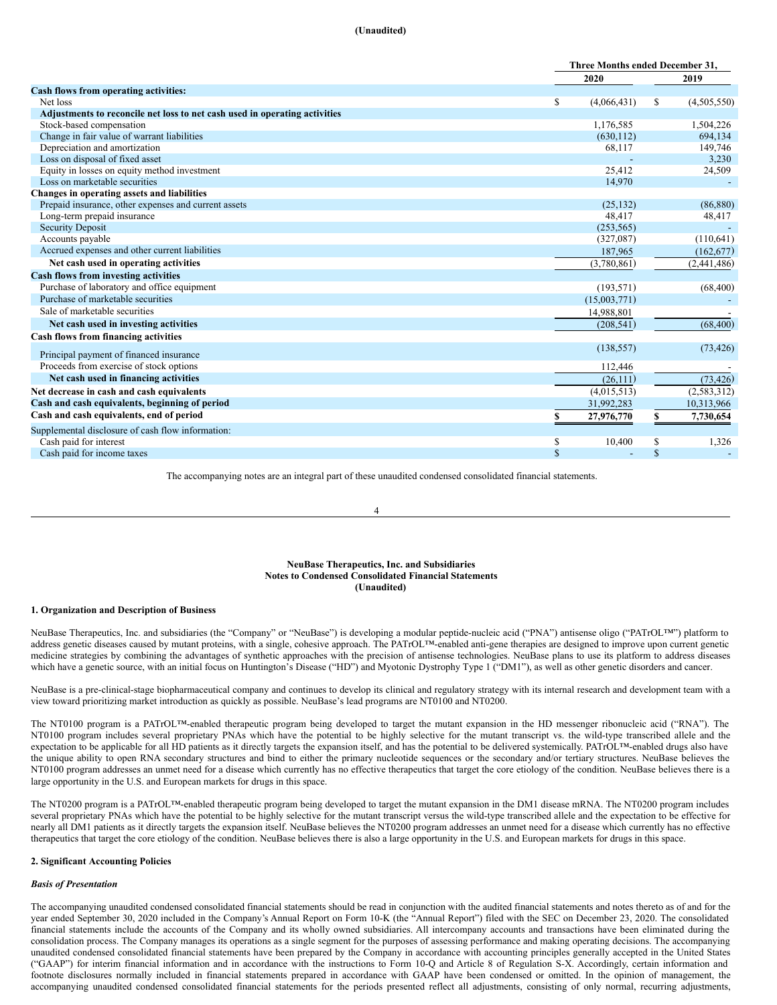|                                                                            |              | Three Months ended December 31, |              |               |
|----------------------------------------------------------------------------|--------------|---------------------------------|--------------|---------------|
|                                                                            |              | 2020                            | 2019         |               |
| Cash flows from operating activities:                                      |              |                                 |              |               |
| Net loss                                                                   | \$           | (4,066,431)                     | \$           | (4,505,550)   |
| Adjustments to reconcile net loss to net cash used in operating activities |              |                                 |              |               |
| Stock-based compensation                                                   |              | 1,176,585                       |              | 1,504,226     |
| Change in fair value of warrant liabilities                                |              | (630, 112)                      |              | 694,134       |
| Depreciation and amortization                                              |              | 68,117                          |              | 149,746       |
| Loss on disposal of fixed asset                                            |              |                                 |              | 3,230         |
| Equity in losses on equity method investment                               |              | 25,412                          |              | 24,509        |
| Loss on marketable securities                                              |              | 14,970                          |              |               |
| Changes in operating assets and liabilities                                |              |                                 |              |               |
| Prepaid insurance, other expenses and current assets                       |              | (25, 132)                       |              | (86, 880)     |
| Long-term prepaid insurance                                                |              | 48,417                          |              | 48,417        |
| <b>Security Deposit</b>                                                    |              | (253, 565)                      |              |               |
| Accounts payable                                                           |              | (327,087)                       |              | (110, 641)    |
| Accrued expenses and other current liabilities                             |              | 187,965                         |              | (162, 677)    |
| Net cash used in operating activities                                      |              | (3,780,861)                     |              | (2,441,486)   |
| <b>Cash flows from investing activities</b>                                |              |                                 |              |               |
| Purchase of laboratory and office equipment                                |              | (193, 571)                      |              | (68, 400)     |
| Purchase of marketable securities                                          |              | (15,003,771)                    |              |               |
| Sale of marketable securities                                              |              | 14,988,801                      |              |               |
| Net cash used in investing activities                                      |              | (208, 541)                      |              | (68, 400)     |
| Cash flows from financing activities                                       |              |                                 |              |               |
| Principal payment of financed insurance                                    |              | (138, 557)                      |              | (73, 426)     |
| Proceeds from exercise of stock options                                    |              | 112,446                         |              |               |
| Net cash used in financing activities                                      |              | (26, 111)                       |              | (73, 426)     |
| Net decrease in cash and cash equivalents                                  |              | (4,015,513)                     |              | (2, 583, 312) |
| Cash and cash equivalents, beginning of period                             |              | 31,992,283                      |              | 10,313,966    |
| Cash and cash equivalents, end of period                                   | \$           | 27,976,770                      | \$           | 7,730,654     |
| Supplemental disclosure of cash flow information:                          |              |                                 |              |               |
| Cash paid for interest                                                     | \$           | 10,400                          | S            | 1,326         |
| Cash paid for income taxes                                                 | $\mathbb{S}$ |                                 | $\mathbb{S}$ |               |

The accompanying notes are an integral part of these unaudited condensed consolidated financial statements.

4

**NeuBase Therapeutics, Inc. and Subsidiaries Notes to Condensed Consolidated Financial Statements (Unaudited)**

# **1. Organization and Description of Business**

NeuBase Therapeutics, Inc. and subsidiaries (the "Company" or "NeuBase") is developing a modular peptide-nucleic acid ("PNA") antisense oligo ("PATrOL™") platform to address genetic diseases caused by mutant proteins, with a single, cohesive approach. The PATrOL™-enabled anti-gene therapies are designed to improve upon current genetic medicine strategies by combining the advantages of synthetic approaches with the precision of antisense technologies. NeuBase plans to use its platform to address diseases which have a genetic source, with an initial focus on Huntington's Disease ("HD") and Myotonic Dystrophy Type 1 ("DM1"), as well as other genetic disorders and cancer.

NeuBase is a pre-clinical-stage biopharmaceutical company and continues to develop its clinical and regulatory strategy with its internal research and development team with a view toward prioritizing market introduction as quickly as possible. NeuBase's lead programs are NT0100 and NT0200.

The NT0100 program is a PATrOL™-enabled therapeutic program being developed to target the mutant expansion in the HD messenger ribonucleic acid ("RNA"). The NT0100 program includes several proprietary PNAs which have the potential to be highly selective for the mutant transcript vs. the wild-type transcribed allele and the expectation to be applicable for all HD patients as it directly targets the expansion itself, and has the potential to be delivered systemically. PATrOL™-enabled drugs also have the unique ability to open RNA secondary structures and bind to either the primary nucleotide sequences or the secondary and/or tertiary structures. NeuBase believes the NT0100 program addresses an unmet need for a disease which currently has no effective therapeutics that target the core etiology of the condition. NeuBase believes there is a large opportunity in the U.S. and European markets for drugs in this space.

The NT0200 program is a PATrOL<sup>™-</sup>enabled therapeutic program being developed to target the mutant expansion in the DM1 disease mRNA. The NT0200 program includes several proprietary PNAs which have the potential to be highly selective for the mutant transcript versus the wild-type transcribed allele and the expectation to be effective for nearly all DM1 patients as it directly targets the expansion itself. NeuBase believes the NT0200 program addresses an unmet need for a disease which currently has no effective therapeutics that target the core etiology of the condition. NeuBase believes there is also a large opportunity in the U.S. and European markets for drugs in this space.

# **2. Significant Accounting Policies**

#### *Basis of Presentation*

The accompanying unaudited condensed consolidated financial statements should be read in conjunction with the audited financial statements and notes thereto as of and for the year ended September 30, 2020 included in the Company's Annual Report on Form 10-K (the "Annual Report") filed with the SEC on December 23, 2020. The consolidated financial statements include the accounts of the Company and its wholly owned subsidiaries. All intercompany accounts and transactions have been eliminated during the consolidation process. The Company manages its operations as a single segment for the purposes of assessing performance and making operating decisions. The accompanying unaudited condensed consolidated financial statements have been prepared by the Company in accordance with accounting principles generally accepted in the United States ("GAAP") for interim financial information and in accordance with the instructions to Form 10-Q and Article 8 of Regulation S-X. Accordingly, certain information and footnote disclosures normally included in financial statements prepared in accordance with GAAP have been condensed or omitted. In the opinion of management, the accompanying unaudited condensed consolidated financial statements for the periods presented reflect all adjustments, consisting of only normal, recurring adjustments,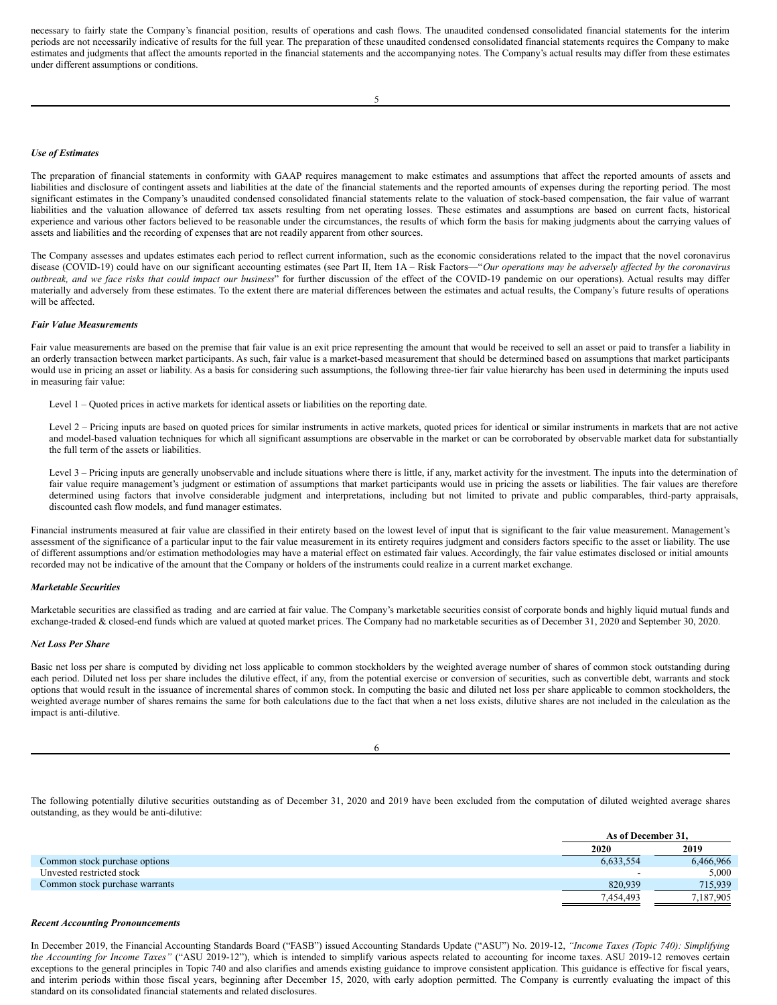necessary to fairly state the Company's financial position, results of operations and cash flows. The unaudited condensed consolidated financial statements for the interim periods are not necessarily indicative of results for the full year. The preparation of these unaudited condensed consolidated financial statements requires the Company to make estimates and judgments that affect the amounts reported in the financial statements and the accompanying notes. The Company's actual results may differ from these estimates under different assumptions or conditions.

### *Use of Estimates*

The preparation of financial statements in conformity with GAAP requires management to make estimates and assumptions that affect the reported amounts of assets and liabilities and disclosure of contingent assets and liabilities at the date of the financial statements and the reported amounts of expenses during the reporting period. The most significant estimates in the Company's unaudited condensed consolidated financial statements relate to the valuation of stock-based compensation, the fair value of warrant liabilities and the valuation allowance of deferred tax assets resulting from net operating losses. These estimates and assumptions are based on current facts, historical experience and various other factors believed to be reasonable under the circumstances, the results of which form the basis for making judgments about the carrying values of assets and liabilities and the recording of expenses that are not readily apparent from other sources.

The Company assesses and updates estimates each period to reflect current information, such as the economic considerations related to the impact that the novel coronavirus disease (COVID-19) could have on our significant accounting estimates (see Part II, Item 1A - Risk Factors—"Our operations may be adversely affected by the coronavirus outbreak, and we face risks that could impact our business" for further discussion of the effect of the COVID-19 pandemic on our operations). Actual results may differ materially and adversely from these estimates. To the extent there are material differences between the estimates and actual results, the Company's future results of operations will be affected.

#### *Fair Value Measurements*

Fair value measurements are based on the premise that fair value is an exit price representing the amount that would be received to sell an asset or paid to transfer a liability in an orderly transaction between market participants. As such, fair value is a market-based measurement that should be determined based on assumptions that market participants would use in pricing an asset or liability. As a basis for considering such assumptions, the following three-tier fair value hierarchy has been used in determining the inputs used in measuring fair value:

Level 1 – Quoted prices in active markets for identical assets or liabilities on the reporting date.

Level 2 – Pricing inputs are based on quoted prices for similar instruments in active markets, quoted prices for identical or similar instruments in markets that are not active and model-based valuation techniques for which all significant assumptions are observable in the market or can be corroborated by observable market data for substantially the full term of the assets or liabilities.

Level 3 – Pricing inputs are generally unobservable and include situations where there is little, if any, market activity for the investment. The inputs into the determination of fair value require management's judgment or estimation of assumptions that market participants would use in pricing the assets or liabilities. The fair values are therefore determined using factors that involve considerable judgment and interpretations, including but not limited to private and public comparables, third-party appraisals, discounted cash flow models, and fund manager estimates.

Financial instruments measured at fair value are classified in their entirety based on the lowest level of input that is significant to the fair value measurement. Management's assessment of the significance of a particular input to the fair value measurement in its entirety requires judgment and considers factors specific to the asset or liability. The use of different assumptions and/or estimation methodologies may have a material effect on estimated fair values. Accordingly, the fair value estimates disclosed or initial amounts recorded may not be indicative of the amount that the Company or holders of the instruments could realize in a current market exchange.

#### *Marketable Securities*

Marketable securities are classified as trading and are carried at fair value. The Company's marketable securities consist of corporate bonds and highly liquid mutual funds and exchange-traded & closed-end funds which are valued at quoted market prices. The Company had no marketable securities as of December 31, 2020 and September 30, 2020.

### *Net Loss Per Share*

Basic net loss per share is computed by dividing net loss applicable to common stockholders by the weighted average number of shares of common stock outstanding during each period. Diluted net loss per share includes the dilutive effect, if any, from the potential exercise or conversion of securities, such as convertible debt, warrants and stock options that would result in the issuance of incremental shares of common stock. In computing the basic and diluted net loss per share applicable to common stockholders, the weighted average number of shares remains the same for both calculations due to the fact that when a net loss exists, dilutive shares are not included in the calculation as the impact is anti-dilutive.

6

The following potentially dilutive securities outstanding as of December 31, 2020 and 2019 have been excluded from the computation of diluted weighted average shares outstanding, as they would be anti-dilutive:

|                                | As of December 31. |           |
|--------------------------------|--------------------|-----------|
|                                | 2020               | 2019      |
| Common stock purchase options  | 6,633,554          | 6.466.966 |
| Unvested restricted stock      | -                  | 5.000     |
| Common stock purchase warrants | 820.939            | 715,939   |
|                                | 7,454,493          | 7,187,905 |

#### *Recent Accounting Pronouncements*

In December 2019, the Financial Accounting Standards Board ("FASB") issued Accounting Standards Update ("ASU") No. 2019-12, *"Income Taxes (Topic 740): Simplifying the Accounting for Income Taxes"* ("ASU 2019-12"), which is intended to simplify various aspects related to accounting for income taxes. ASU 2019-12 removes certain exceptions to the general principles in Topic 740 and also clarifies and amends existing guidance to improve consistent application. This guidance is effective for fiscal years, and interim periods within those fiscal years, beginning after December 15, 2020, with early adoption permitted. The Company is currently evaluating the impact of this standard on its consolidated financial statements and related disclosures.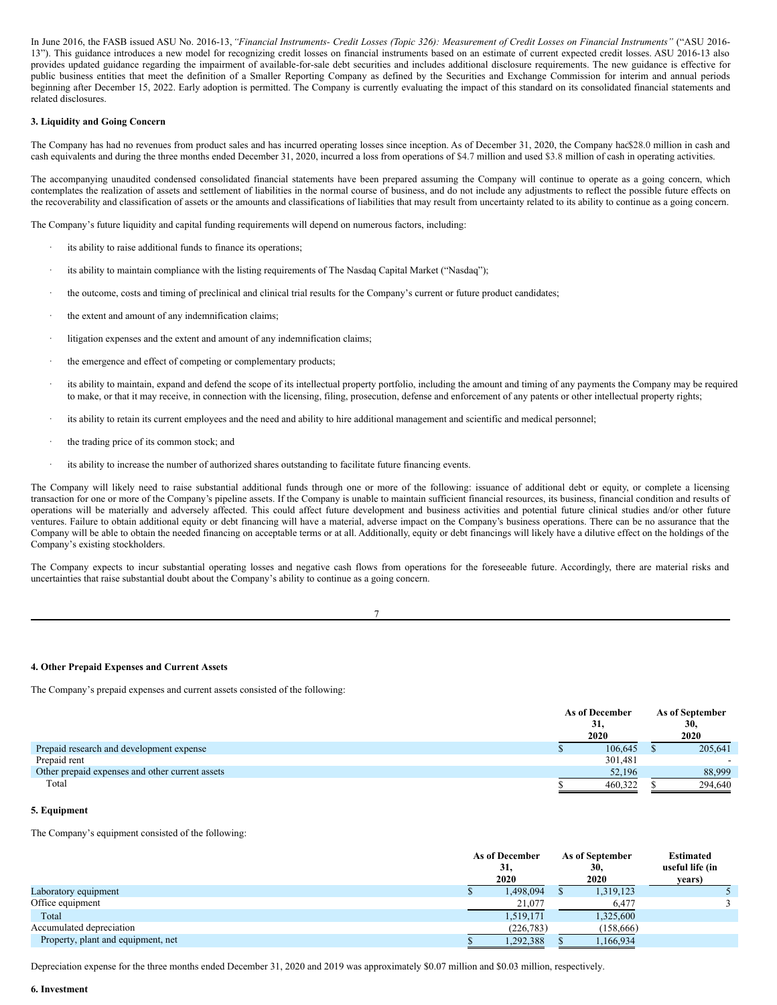In June 2016, the FASB issued ASU No. 2016-13, "Financial Instruments- Credit Losses (Topic 326): Measurement of Credit Losses on Financial Instruments" ("ASU 2016-13"). This guidance introduces a new model for recognizing credit losses on financial instruments based on an estimate of current expected credit losses. ASU 2016-13 also provides updated guidance regarding the impairment of available-for-sale debt securities and includes additional disclosure requirements. The new guidance is effective for public business entities that meet the definition of a Smaller Reporting Company as defined by the Securities and Exchange Commission for interim and annual periods beginning after December 15, 2022. Early adoption is permitted. The Company is currently evaluating the impact of this standard on its consolidated financial statements and related disclosures.

# **3. Liquidity and Going Concern**

The Company has had no revenues from product sales and has incurred operating losses since inception. As of December 31, 2020, the Company had\$28.0 million in cash and cash equivalents and during the three months ended December 31, 2020, incurred a loss from operations of \$4.7 million and used \$3.8 million of cash in operating activities.

The accompanying unaudited condensed consolidated financial statements have been prepared assuming the Company will continue to operate as a going concern, which contemplates the realization of assets and settlement of liabilities in the normal course of business, and do not include any adjustments to reflect the possible future effects on the recoverability and classification of assets or the amounts and classifications of liabilities that may result from uncertainty related to its ability to continue as a going concern.

The Company's future liquidity and capital funding requirements will depend on numerous factors, including:

- its ability to raise additional funds to finance its operations;
- its ability to maintain compliance with the listing requirements of The Nasdaq Capital Market ("Nasdaq");
- the outcome, costs and timing of preclinical and clinical trial results for the Company's current or future product candidates;
- the extent and amount of any indemnification claims;
- litigation expenses and the extent and amount of any indemnification claims;
- the emergence and effect of competing or complementary products;
- its ability to maintain, expand and defend the scope of its intellectual property portfolio, including the amount and timing of any payments the Company may be required to make, or that it may receive, in connection with the licensing, filing, prosecution, defense and enforcement of any patents or other intellectual property rights;
- its ability to retain its current employees and the need and ability to hire additional management and scientific and medical personnel;
- the trading price of its common stock; and
- its ability to increase the number of authorized shares outstanding to facilitate future financing events.

The Company will likely need to raise substantial additional funds through one or more of the following: issuance of additional debt or equity, or complete a licensing transaction for one or more of the Company's pipeline assets. If the Company is unable to maintain sufficient financial resources, its business, financial condition and results of operations will be materially and adversely affected. This could affect future development and business activities and potential future clinical studies and/or other future ventures. Failure to obtain additional equity or debt financing will have a material, adverse impact on the Company's business operations. There can be no assurance that the Company will be able to obtain the needed financing on acceptable terms or at all. Additionally, equity or debt financings will likely have a dilutive effect on the holdings of the Company's existing stockholders.

The Company expects to incur substantial operating losses and negative cash flows from operations for the foreseeable future. Accordingly, there are material risks and uncertainties that raise substantial doubt about the Company's ability to continue as a going concern.

| I |  |
|---|--|

# **4. Other Prepaid Expenses and Current Assets**

The Company's prepaid expenses and current assets consisted of the following:

|                                                 |      | As of December<br>31, |  | As of September<br>30, |  |
|-------------------------------------------------|------|-----------------------|--|------------------------|--|
|                                                 | 2020 |                       |  | 2020                   |  |
| Prepaid research and development expense        |      | 106,645               |  | 205,641                |  |
| Prepaid rent                                    |      | 301,481               |  |                        |  |
| Other prepaid expenses and other current assets |      | 52,196                |  | 88,999                 |  |
| Total                                           |      | 460.322               |  | 294,640                |  |

### **5. Equipment**

The Company's equipment consisted of the following:

|                                    | As of December<br>31,<br>2020 | As of September<br>30,<br>2020 | <b>Estimated</b><br>useful life (in<br>years) |
|------------------------------------|-------------------------------|--------------------------------|-----------------------------------------------|
| Laboratory equipment               | 1.498.094                     | 1,319,123                      |                                               |
| Office equipment                   | 21,077                        | 6,477                          |                                               |
| Total                              | 1,519,171                     | 1,325,600                      |                                               |
| Accumulated depreciation           | (226, 783)                    | (158, 666)                     |                                               |
| Property, plant and equipment, net | 1,292,388                     | 1,166,934                      |                                               |

Depreciation expense for the three months ended December 31, 2020 and 2019 was approximately \$0.07 million and \$0.03 million, respectively.

# **6. Investment**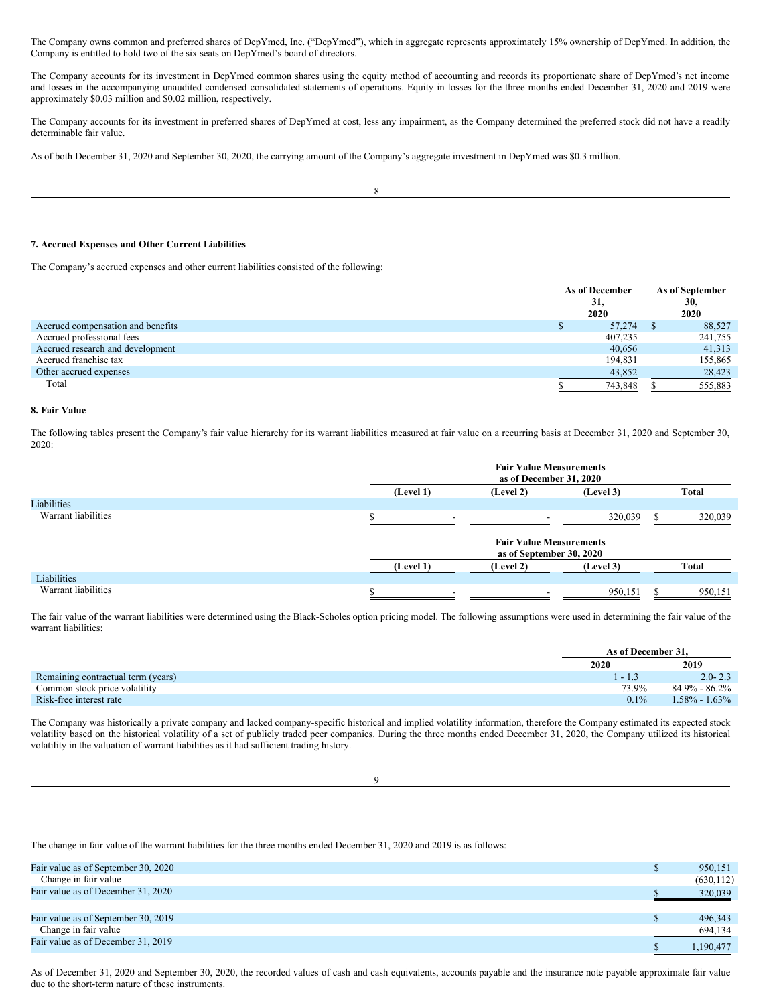The Company owns common and preferred shares of DepYmed, Inc. ("DepYmed"), which in aggregate represents approximately 15% ownership of DepYmed. In addition, the Company is entitled to hold two of the six seats on DepYmed's board of directors.

The Company accounts for its investment in DepYmed common shares using the equity method of accounting and records its proportionate share of DepYmed's net income and losses in the accompanying unaudited condensed consolidated statements of operations. Equity in losses for the three months ended December 31, 2020 and 2019 were approximately \$0.03 million and \$0.02 million, respectively.

The Company accounts for its investment in preferred shares of DepYmed at cost, less any impairment, as the Company determined the preferred stock did not have a readily determinable fair value.

As of both December 31, 2020 and September 30, 2020, the carrying amount of the Company's aggregate investment in DepYmed was \$0.3 million.

| I            |  |
|--------------|--|
|              |  |
| ï<br>×<br>۰, |  |

### **7. Accrued Expenses and Other Current Liabilities**

The Company's accrued expenses and other current liabilities consisted of the following:

|                                   | <b>As of December</b><br>31.<br>2020 | As of September<br>30,<br>2020 |
|-----------------------------------|--------------------------------------|--------------------------------|
| Accrued compensation and benefits | 57,274                               | 88,527                         |
| Accrued professional fees         | 407.235                              | 241,755                        |
| Accrued research and development  | 40,656                               | 41,313                         |
| Accrued franchise tax             | 194,831                              | 155,865                        |
| Other accrued expenses            | 43,852                               | 28,423                         |
| Total                             | 743,848                              | 555,883                        |

# **8. Fair Value**

The following tables present the Company's fair value hierarchy for its warrant liabilities measured at fair value on a recurring basis at December 31, 2020 and September 30, 2020:

|                     |                          | <b>Fair Value Measurements</b><br>as of December 31, 2020  |           |              |
|---------------------|--------------------------|------------------------------------------------------------|-----------|--------------|
|                     | (Level 1)                | (Level 2)                                                  | (Level 3) | <b>Total</b> |
| Liabilities         |                          |                                                            |           |              |
| Warrant liabilities |                          |                                                            | 320,039   | 320,039      |
|                     |                          | <b>Fair Value Measurements</b><br>as of September 30, 2020 |           |              |
|                     | (Level 1)                | (Level 2)                                                  | (Level 3) | Total        |
| Liabilities         |                          |                                                            |           |              |
| Warrant liabilities | $\overline{\phantom{a}}$ |                                                            | 950,151   | 950,151      |

The fair value of the warrant liabilities were determined using the Black-Scholes option pricing model. The following assumptions were used in determining the fair value of the warrant liabilities:

|                                    | As of December 31. |                   |
|------------------------------------|--------------------|-------------------|
|                                    | 2020               | 2019              |
| Remaining contractual term (years) | $1 - 1$            | $2.0 - 2.3$       |
| Common stock price volatility      | 73.9%              | 84.9% - 86.2%     |
| Risk-free interest rate            | $0.1\%$            | $1.58\% - 1.63\%$ |

The Company was historically a private company and lacked company-specific historical and implied volatility information, therefore the Company estimated its expected stock volatility based on the historical volatility of a set of publicly traded peer companies. During the three months ended December 31, 2020, the Company utilized its historical volatility in the valuation of warrant liabilities as it had sufficient trading history.

9

The change in fair value of the warrant liabilities for the three months ended December 31, 2020 and 2019 is as follows:

| Fair value as of September 30, 2020 | Y. | 950.151    |
|-------------------------------------|----|------------|
| Change in fair value                |    | (630, 112) |
| Fair value as of December 31, 2020  |    | 320,039    |
|                                     |    |            |
| Fair value as of September 30, 2019 |    | 496,343    |
| Change in fair value                |    | 694,134    |
| Fair value as of December 31, 2019  |    | 1.190.477  |

As of December 31, 2020 and September 30, 2020, the recorded values of cash and cash equivalents, accounts payable and the insurance note payable approximate fair value due to the short-term nature of these instruments.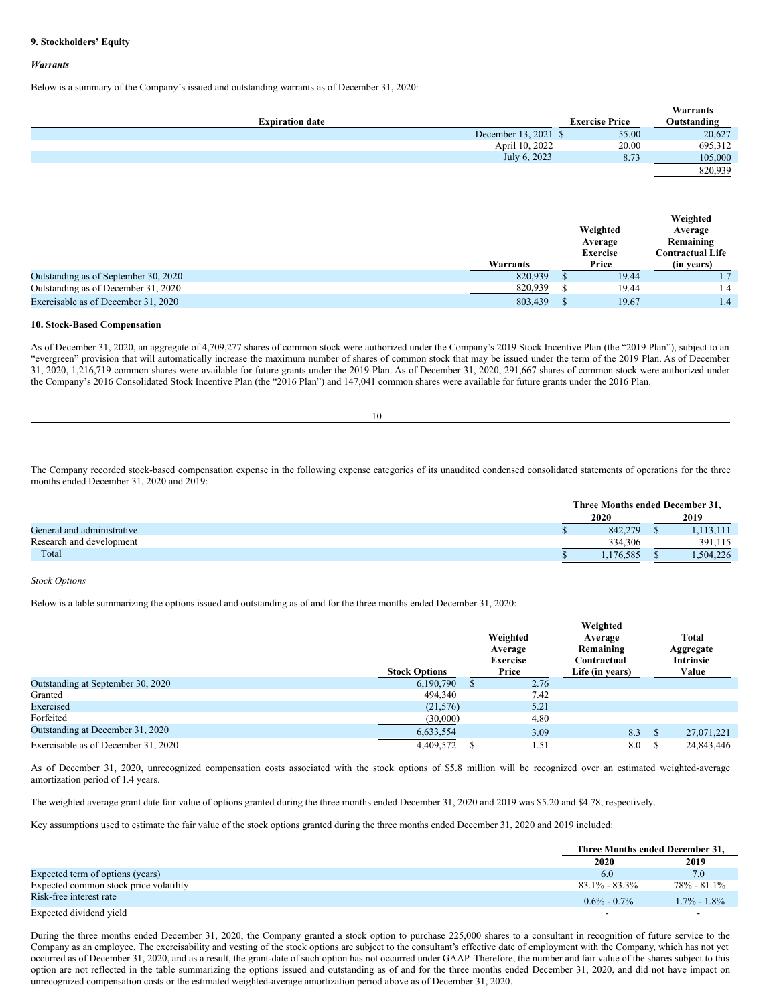### **9. Stockholders' Equity**

#### *Warrants*

Below is a summary of the Company's issued and outstanding warrants as of December 31, 2020:

| <b>Expiration date</b>               |                      |               | <b>Exercise Price</b>                           | Warrants<br>Outstanding                                                   |
|--------------------------------------|----------------------|---------------|-------------------------------------------------|---------------------------------------------------------------------------|
|                                      | December 13, 2021 \$ |               | 55.00                                           | 20,627                                                                    |
|                                      | April 10, 2022       |               | 20.00                                           | 695,312                                                                   |
|                                      | July 6, 2023         |               | 8.73                                            | 105,000                                                                   |
|                                      |                      |               |                                                 | 820,939                                                                   |
|                                      | Warrants             |               | Weighted<br>Average<br><b>Exercise</b><br>Price | Weighted<br>Average<br>Remaining<br><b>Contractual Life</b><br>(in years) |
| Outstanding as of September 30, 2020 | 820,939              | <sup>\$</sup> | 19.44                                           | 1.7                                                                       |
| Outstanding as of December 31, 2020  | 820,939              | S             | 19.44                                           | 1.4                                                                       |

#### **10. Stock-Based Compensation**

As of December 31, 2020, an aggregate of 4,709,277 shares of common stock were authorized under the Company's 2019 Stock Incentive Plan (the "2019 Plan"), subject to an "evergreen" provision that will automatically increase the maximum number of shares of common stock that may be issued under the term of the 2019 Plan. As of December 31, 2020, 1,216,719 common shares were available for future grants under the 2019 Plan. As of December 31, 2020, 291,667 shares of common stock were authorized under the Company's 2016 Consolidated Stock Incentive Plan (the "2016 Plan") and 147,041 common shares were available for future grants under the 2016 Plan.

Exercisable as of December 31, 2020  $\overline{803,439}$  \$ 19.67 1.4

10

The Company recorded stock-based compensation expense in the following expense categories of its unaudited condensed consolidated statements of operations for the three months ended December 31, 2020 and 2019:

|                            | Three Months ended December 31. |  |           |
|----------------------------|---------------------------------|--|-----------|
|                            | 2020                            |  | 2019      |
| General and administrative | 842,279                         |  | .113.111  |
| Research and development   | 334,306                         |  | 391,115   |
| Total                      | 1.176.585                       |  | 1.504.226 |

*Stock Options*

Below is a table summarizing the options issued and outstanding as of and for the three months ended December 31, 2020:

|                                     |                      | Weighted        |                 |                  |  |
|-------------------------------------|----------------------|-----------------|-----------------|------------------|--|
|                                     |                      | Weighted        | Average         | <b>Total</b>     |  |
|                                     |                      | Average         | Remaining       | Aggregate        |  |
|                                     |                      | <b>Exercise</b> | Contractual     | Intrinsic        |  |
|                                     | <b>Stock Options</b> | Price           | Life (in years) | Value            |  |
| Outstanding at September 30, 2020   | 6,190,790            | 2.76            |                 |                  |  |
| Granted                             | 494,340              | 7.42            |                 |                  |  |
| Exercised                           | (21, 576)            | 5.21            |                 |                  |  |
| Forfeited                           | (30,000)             | 4.80            |                 |                  |  |
| Outstanding at December 31, 2020    | 6,633,554            | 3.09            | 8.3             | 27,071,221<br>-S |  |
| Exercisable as of December 31, 2020 | 4,409,572            | 1.51            | 8.0             | 24,843,446       |  |

As of December 31, 2020, unrecognized compensation costs associated with the stock options of \$5.8 million will be recognized over an estimated weighted-average amortization period of 1.4 years.

The weighted average grant date fair value of options granted during the three months ended December 31, 2020 and 2019 was \$5.20 and \$4.78, respectively.

Key assumptions used to estimate the fair value of the stock options granted during the three months ended December 31, 2020 and 2019 included:

|                                        | Three Months ended December 31.    |  |
|----------------------------------------|------------------------------------|--|
|                                        | 2019<br>2020                       |  |
| Expected term of options (years)       | 7.0<br>6.0                         |  |
| Expected common stock price volatility | 78% - 81.1%<br>$83.1\% - 83.3\%$   |  |
| Risk-free interest rate                | $1.7\% - 1.8\%$<br>$0.6\% - 0.7\%$ |  |
| Expected dividend yield                |                                    |  |

During the three months ended December 31, 2020, the Company granted a stock option to purchase 225,000 shares to a consultant in recognition of future service to the Company as an employee. The exercisability and vesting of the stock options are subject to the consultant's effective date of employment with the Company, which has not yet occurred as of December 31, 2020, and as a result, the grant-date of such option has not occurred under GAAP. Therefore, the number and fair value of the shares subject to this option are not reflected in the table summarizing the options issued and outstanding as of and for the three months ended December 31, 2020, and did not have impact on unrecognized compensation costs or the estimated weighted-average amortization period above as of December 31, 2020.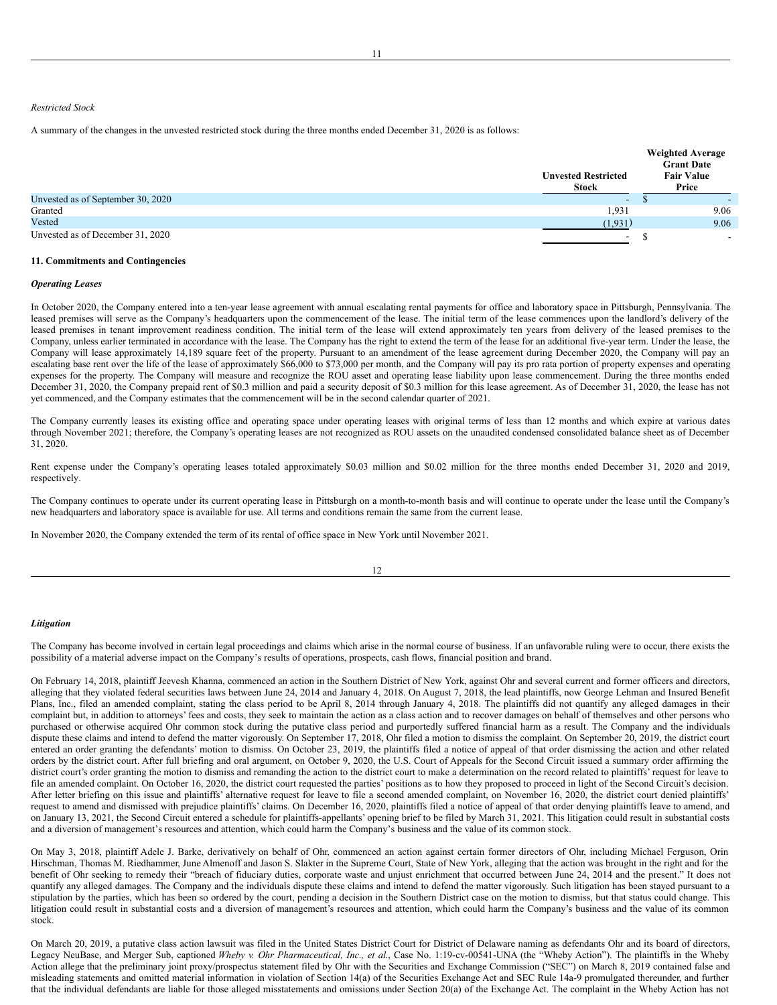# *Restricted Stock*

A summary of the changes in the unvested restricted stock during the three months ended December 31, 2020 is as follows:

|                                   | <b>Unvested Restricted</b><br><b>Stock</b> | <b>Weighted Average</b><br><b>Grant Date</b><br><b>Fair Value</b><br>Price |
|-----------------------------------|--------------------------------------------|----------------------------------------------------------------------------|
| Unvested as of September 30, 2020 | $\overline{\phantom{0}}$                   | $\sim$                                                                     |
| Granted                           | 1,931                                      | 9.06                                                                       |
| Vested                            | (1,931)                                    | 9.06                                                                       |
| Unvested as of December 31, 2020  | $\overline{\phantom{0}}$                   |                                                                            |

#### **11. Commitments and Contingencies**

### *Operating Leases*

In October 2020, the Company entered into a ten-year lease agreement with annual escalating rental payments for office and laboratory space in Pittsburgh, Pennsylvania. The leased premises will serve as the Company's headquarters upon the commencement of the lease. The initial term of the lease commences upon the landlord's delivery of the leased premises in tenant improvement readiness condition. The initial term of the lease will extend approximately ten years from delivery of the leased premises to the Company, unless earlier terminated in accordance with the lease. The Company has the right to extend the term of the lease for an additional five-year term. Under the lease, the Company will lease approximately 14,189 square feet of the property. Pursuant to an amendment of the lease agreement during December 2020, the Company will pay an escalating base rent over the life of the lease of approximately \$66,000 to \$73,000 per month, and the Company will pay its pro rata portion of property expenses and operating expenses for the property. The Company will measure and recognize the ROU asset and operating lease liability upon lease commencement. During the three months ended December 31, 2020, the Company prepaid rent of \$0.3 million and paid a security deposit of \$0.3 million for this lease agreement. As of December 31, 2020, the lease has not yet commenced, and the Company estimates that the commencement will be in the second calendar quarter of 2021.

The Company currently leases its existing office and operating space under operating leases with original terms of less than 12 months and which expire at various dates through November 2021; therefore, the Company's operating leases are not recognized as ROU assets on the unaudited condensed consolidated balance sheet as of December 31, 2020.

Rent expense under the Company's operating leases totaled approximately \$0.03 million and \$0.02 million for the three months ended December 31, 2020 and 2019, respectively.

The Company continues to operate under its current operating lease in Pittsburgh on a month-to-month basis and will continue to operate under the lease until the Company's new headquarters and laboratory space is available for use. All terms and conditions remain the same from the current lease.

In November 2020, the Company extended the term of its rental of office space in New York until November 2021.

### *Litigation*

The Company has become involved in certain legal proceedings and claims which arise in the normal course of business. If an unfavorable ruling were to occur, there exists the possibility of a material adverse impact on the Company's results of operations, prospects, cash flows, financial position and brand.

On February 14, 2018, plaintiff Jeevesh Khanna, commenced an action in the Southern District of New York, against Ohr and several current and former officers and directors, alleging that they violated federal securities laws between June 24, 2014 and January 4, 2018. On August 7, 2018, the lead plaintiffs, now George Lehman and Insured Benefit Plans, Inc., filed an amended complaint, stating the class period to be April 8, 2014 through January 4, 2018. The plaintiffs did not quantify any alleged damages in their complaint but, in addition to attorneys' fees and costs, they seek to maintain the action as a class action and to recover damages on behalf of themselves and other persons who purchased or otherwise acquired Ohr common stock during the putative class period and purportedly suffered financial harm as a result. The Company and the individuals dispute these claims and intend to defend the matter vigorously. On September 17, 2018, Ohr filed a motion to dismiss the complaint. On September 20, 2019, the district court entered an order granting the defendants' motion to dismiss. On October 23, 2019, the plaintiffs filed a notice of appeal of that order dismissing the action and other related orders by the district court. After full briefing and oral argument, on October 9, 2020, the U.S. Court of Appeals for the Second Circuit issued a summary order affirming the district court's order granting the motion to dismiss and remanding the action to the district court to make a determination on the record related to plaintiffs' request for leave to file an amended complaint. On October 16, 2020, the district court requested the parties' positions as to how they proposed to proceed in light of the Second Circuit's decision. After letter briefing on this issue and plaintiffs' alternative request for leave to file a second amended complaint, on November 16, 2020, the district court denied plaintiffs' request to amend and dismissed with prejudice plaintiffs' claims. On December 16, 2020, plaintiffs filed a notice of appeal of that order denying plaintiffs leave to amend, and on January 13, 2021, the Second Circuit entered a schedule for plaintiffs-appellants' opening brief to be filed by March 31, 2021. This litigation could result in substantial costs and a diversion of management's resources and attention, which could harm the Company's business and the value of its common stock.

On May 3, 2018, plaintiff Adele J. Barke, derivatively on behalf of Ohr, commenced an action against certain former directors of Ohr, including Michael Ferguson, Orin Hirschman, Thomas M. Riedhammer, June Almenoff and Jason S. Slakter in the Supreme Court, State of New York, alleging that the action was brought in the right and for the benefit of Ohr seeking to remedy their "breach of fiduciary duties, corporate waste and unjust enrichment that occurred between June 24, 2014 and the present." It does not quantify any alleged damages. The Company and the individuals dispute these claims and intend to defend the matter vigorously. Such litigation has been stayed pursuant to a stipulation by the parties, which has been so ordered by the court, pending a decision in the Southern District case on the motion to dismiss, but that status could change. This litigation could result in substantial costs and a diversion of management's resources and attention, which could harm the Company's business and the value of its common stock.

On March 20, 2019, a putative class action lawsuit was filed in the United States District Court for District of Delaware naming as defendants Ohr and its board of directors, Legacy NeuBase, and Merger Sub, captioned *Wheby v. Ohr Pharmaceutical, Inc., et al*., Case No. 1:19-cv-00541-UNA (the "Wheby Action"). The plaintiffs in the Wheby Action allege that the preliminary joint proxy/prospectus statement filed by Ohr with the Securities and Exchange Commission ("SEC") on March 8, 2019 contained false and misleading statements and omitted material information in violation of Section 14(a) of the Securities Exchange Act and SEC Rule 14a-9 promulgated thereunder, and further that the individual defendants are liable for those alleged misstatements and omissions under Section 20(a) of the Exchange Act. The complaint in the Wheby Action has not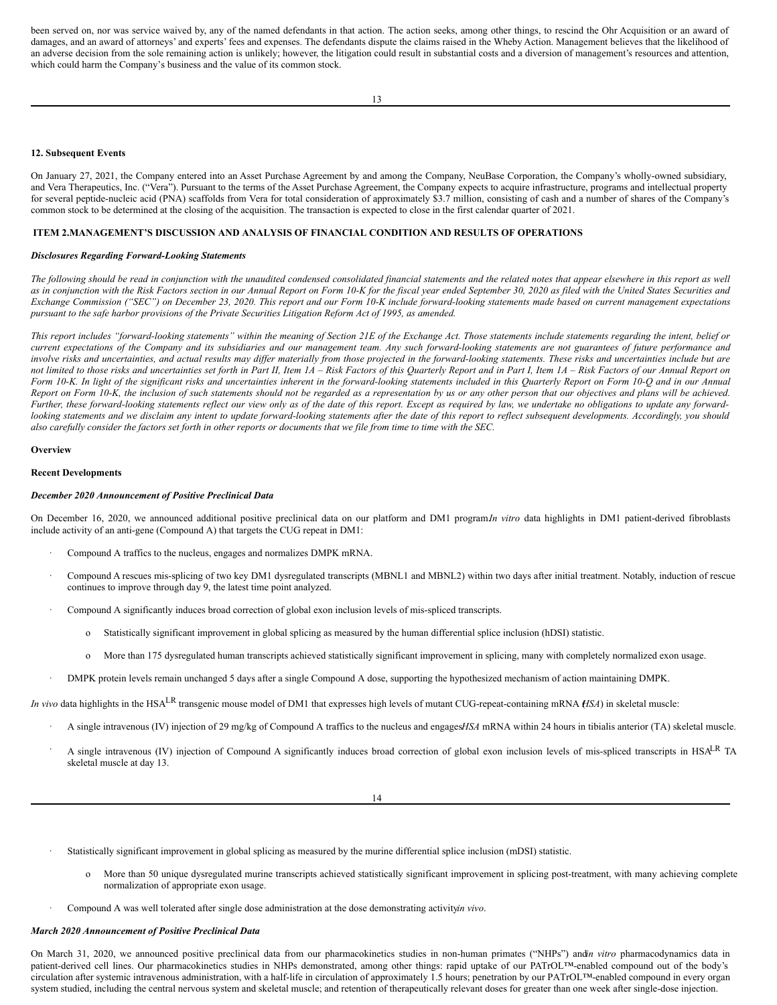been served on, nor was service waived by, any of the named defendants in that action. The action seeks, among other things, to rescind the Ohr Acquisition or an award of damages, and an award of attorneys' and experts' fees and expenses. The defendants dispute the claims raised in the Wheby Action. Management believes that the likelihood of an adverse decision from the sole remaining action is unlikely; however, the litigation could result in substantial costs and a diversion of management's resources and attention, which could harm the Company's business and the value of its common stock.

### **12. Subsequent Events**

On January 27, 2021, the Company entered into an Asset Purchase Agreement by and among the Company, NeuBase Corporation, the Company's wholly-owned subsidiary, and Vera Therapeutics, Inc. ("Vera"). Pursuant to the terms of the Asset Purchase Agreement, the Company expects to acquire infrastructure, programs and intellectual property for several peptide-nucleic acid (PNA) scaffolds from Vera for total consideration of approximately \$3.7 million, consisting of cash and a number of shares of the Company's common stock to be determined at the closing of the acquisition. The transaction is expected to close in the first calendar quarter of 2021.

### <span id="page-9-0"></span>**ITEM 2.MANAGEMENT'S DISCUSSION AND ANALYSIS OF FINANCIAL CONDITION AND RESULTS OF OPERATIONS**

### *Disclosures Regarding Forward-Looking Statements*

The following should be read in conjunction with the unaudited condensed consolidated financial statements and the related notes that appear elsewhere in this report as well as in conjunction with the Risk Factors section in our Annual Report on Form 10-K for the fiscal year ended September 30, 2020 as filed with the United States Securities and Exchange Commission ("SEC") on December 23, 2020. This report and our Form 10-K include forward-looking statements made based on current management expectations pursuant to the safe harbor provisions of the Private Securities Litigation Reform Act of 1995, as amended.

This report includes "forward-looking statements" within the meaning of Section 21E of the Exchange Act. Those statements include statements regarding the intent, belief or current expectations of the Company and its subsidiaries and our management team. Any such forward-looking statements are not guarantees of future performance and involve risks and uncertainties, and actual results may differ materially from those projected in the forward-looking statements. These risks and uncertainties include but are not limited to those risks and uncertainties set forth in Part II, Item 1A - Risk Factors of this Quarterly Report and in Part I, Item 1A - Risk Factors of our Annual Report on Form 10-K. In light of the significant risks and uncertainties inherent in the forward-looking statements included in this Quarterly Report on Form 10-Q and in our Annual Report on Form 10-K, the inclusion of such statements should not be regarded as a representation by us or any other person that our objectives and plans will be achieved. Further, these forward-looking statements reflect our view only as of the date of this report. Except as required by law, we undertake no obligations to update any forwardlooking statements and we disclaim any intent to update forward-looking statements after the date of this report to reflect subsequent developments. Accordingly, you should also carefully consider the factors set forth in other reports or documents that we file from time to time with the SEC.

#### **Overview**

# **Recent Developments**

### *December 2020 Announcement of Positive Preclinical Data*

On December 16, 2020, we announced additional positive preclinical data on our platform and DM1 program.*In vitro* data highlights in DM1 patient-derived fibroblasts include activity of an anti-gene (Compound A) that targets the CUG repeat in DM1:

- Compound A traffics to the nucleus, engages and normalizes DMPK mRNA.
- · Compound A rescues mis-splicing of two key DM1 dysregulated transcripts (MBNL1 and MBNL2) within two days after initial treatment. Notably, induction of rescue continues to improve through day 9, the latest time point analyzed.
- Compound A significantly induces broad correction of global exon inclusion levels of mis-spliced transcripts.
	- Statistically significant improvement in global splicing as measured by the human differential splice inclusion (hDSI) statistic.
	- o More than 175 dysregulated human transcripts achieved statistically significant improvement in splicing, many with completely normalized exon usage.
- · DMPK protein levels remain unchanged 5 days after a single Compound A dose, supporting the hypothesized mechanism of action maintaining DMPK.

*In vivo* data highlights in the HSA<sup>LR</sup> transgenic mouse model of DM1 that expresses high levels of mutant CUG-repeat-containing mRNA *HSA*) in skeletal muscle:

- · A single intravenous (IV) injection of 29 mg/kg of Compound A traffics to the nucleus and engages*HSA* mRNA within 24 hours in tibialis anterior (TA) skeletal muscle.
- A single intravenous (IV) injection of Compound A significantly induces broad correction of global exon inclusion levels of mis-spliced transcripts in HSA<sup>LR</sup> TA skeletal muscle at day 13.

14

- Statistically significant improvement in global splicing as measured by the murine differential splice inclusion (mDSI) statistic.
	- o More than 50 unique dysregulated murine transcripts achieved statistically significant improvement in splicing post-treatment, with many achieving complete normalization of appropriate exon usage.
- · Compound A was well tolerated after single dose administration at the dose demonstrating activity*in vivo*.

#### *March 2020 Announcement of Positive Preclinical Data*

On March 31, 2020, we announced positive preclinical data from our pharmacokinetics studies in non-human primates ("NHPs") and*in vitro* pharmacodynamics data in patient-derived cell lines. Our pharmacokinetics studies in NHPs demonstrated, among other things: rapid uptake of our PATrOL™-enabled compound out of the body's circulation after systemic intravenous administration, with a half-life in circulation of approximately 1.5 hours; penetration by our PATrOL™-enabled compound in every organ system studied, including the central nervous system and skeletal muscle; and retention of therapeutically relevant doses for greater than one week after single-dose injection.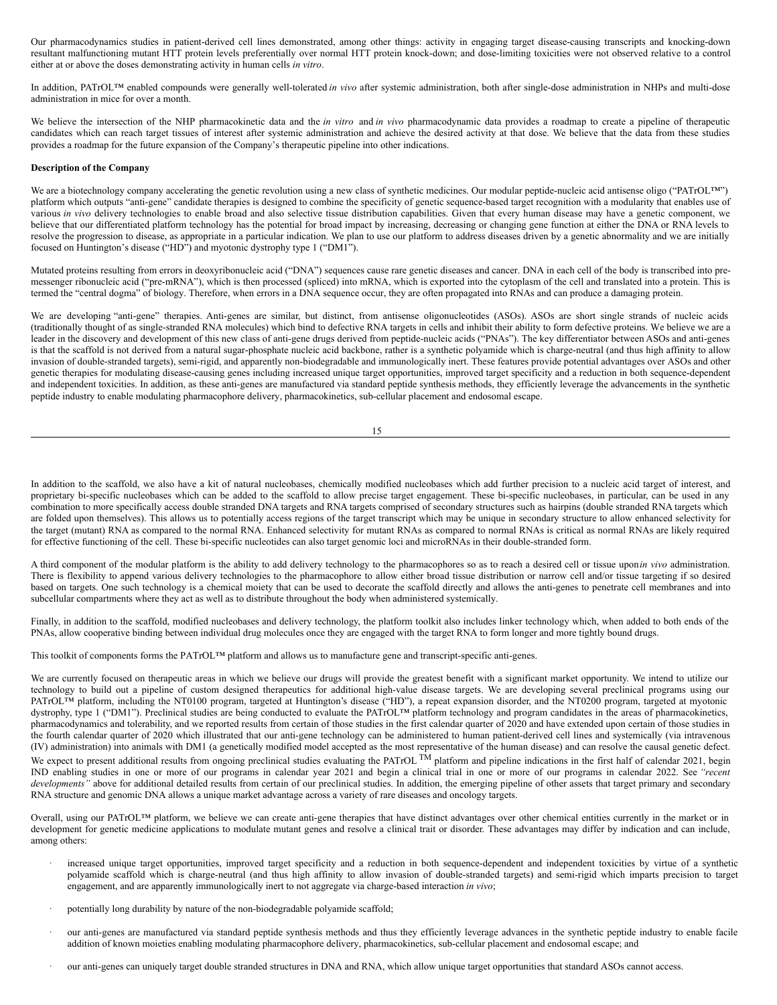Our pharmacodynamics studies in patient-derived cell lines demonstrated, among other things: activity in engaging target disease-causing transcripts and knocking-down resultant malfunctioning mutant HTT protein levels preferentially over normal HTT protein knock-down; and dose-limiting toxicities were not observed relative to a control either at or above the doses demonstrating activity in human cells *in vitro*.

In addition, PATrOL™ enabled compounds were generally well-tolerated *in vivo* after systemic administration, both after single-dose administration in NHPs and multi-dose administration in mice for over a month.

We believe the intersection of the NHP pharmacokinetic data and the *in vitro* and *in vivo* pharmacodynamic data provides a roadmap to create a pipeline of therapeutic candidates which can reach target tissues of interest after systemic administration and achieve the desired activity at that dose. We believe that the data from these studies provides a roadmap for the future expansion of the Company's therapeutic pipeline into other indications.

# **Description of the Company**

We are a biotechnology company accelerating the genetic revolution using a new class of synthetic medicines. Our modular peptide-nucleic acid antisense oligo ("PATrOL™") platform which outputs "anti-gene" candidate therapies is designed to combine the specificity of genetic sequence-based target recognition with a modularity that enables use of various *in vivo* delivery technologies to enable broad and also selective tissue distribution capabilities. Given that every human disease may have a genetic component, we believe that our differentiated platform technology has the potential for broad impact by increasing, decreasing or changing gene function at either the DNA or RNA levels to resolve the progression to disease, as appropriate in a particular indication. We plan to use our platform to address diseases driven by a genetic abnormality and we are initially focused on Huntington's disease ("HD") and myotonic dystrophy type 1 ("DM1").

Mutated proteins resulting from errors in deoxyribonucleic acid ("DNA") sequences cause rare genetic diseases and cancer. DNA in each cell of the body is transcribed into premessenger ribonucleic acid ("pre-mRNA"), which is then processed (spliced) into mRNA, which is exported into the cytoplasm of the cell and translated into a protein. This is termed the "central dogma" of biology. Therefore, when errors in a DNA sequence occur, they are often propagated into RNAs and can produce a damaging protein.

We are developing "anti-gene" therapies. Anti-genes are similar, but distinct, from antisense oligonucleotides (ASOs). ASOs are short single strands of nucleic acids (traditionally thought of as single-stranded RNA molecules) which bind to defective RNA targets in cells and inhibit their ability to form defective proteins. We believe we are a leader in the discovery and development of this new class of anti-gene drugs derived from peptide-nucleic acids ("PNAs"). The key differentiator between ASOs and anti-genes is that the scaffold is not derived from a natural sugar-phosphate nucleic acid backbone, rather is a synthetic polyamide which is charge-neutral (and thus high affinity to allow invasion of double-stranded targets), semi-rigid, and apparently non-biodegradable and immunologically inert. These features provide potential advantages over ASOs and other genetic therapies for modulating disease-causing genes including increased unique target opportunities, improved target specificity and a reduction in both sequence-dependent and independent toxicities. In addition, as these anti-genes are manufactured via standard peptide synthesis methods, they efficiently leverage the advancements in the synthetic peptide industry to enable modulating pharmacophore delivery, pharmacokinetics, sub-cellular placement and endosomal escape.

15

In addition to the scaffold, we also have a kit of natural nucleobases, chemically modified nucleobases which add further precision to a nucleic acid target of interest, and proprietary bi-specific nucleobases which can be added to the scaffold to allow precise target engagement. These bi-specific nucleobases, in particular, can be used in any combination to more specifically access double stranded DNA targets and RNA targets comprised of secondary structures such as hairpins (double stranded RNA targets which are folded upon themselves). This allows us to potentially access regions of the target transcript which may be unique in secondary structure to allow enhanced selectivity for the target (mutant) RNA as compared to the normal RNA. Enhanced selectivity for mutant RNAs as compared to normal RNAs is critical as normal RNAs are likely required for effective functioning of the cell. These bi-specific nucleotides can also target genomic loci and microRNAs in their double-stranded form.

A third component of the modular platform is the ability to add delivery technology to the pharmacophores so as to reach a desired cell or tissue upon*in vivo* administration. There is flexibility to append various delivery technologies to the pharmacophore to allow either broad tissue distribution or narrow cell and/or tissue targeting if so desired based on targets. One such technology is a chemical moiety that can be used to decorate the scaffold directly and allows the anti-genes to penetrate cell membranes and into subcellular compartments where they act as well as to distribute throughout the body when administered systemically.

Finally, in addition to the scaffold, modified nucleobases and delivery technology, the platform toolkit also includes linker technology which, when added to both ends of the PNAs, allow cooperative binding between individual drug molecules once they are engaged with the target RNA to form longer and more tightly bound drugs.

This toolkit of components forms the PATrOL™ platform and allows us to manufacture gene and transcript-specific anti-genes.

We are currently focused on therapeutic areas in which we believe our drugs will provide the greatest benefit with a significant market opportunity. We intend to utilize our technology to build out a pipeline of custom designed therapeutics for additional high-value disease targets. We are developing several preclinical programs using our PATrOL<sup>TM</sup> platform, including the NT0100 program, targeted at Huntington's disease ("HD"), a repeat expansion disorder, and the NT0200 program, targeted at myotonic dystrophy, type 1 ("DM1"). Preclinical studies are being conducted to evaluate the PATrOL™ platform technology and program candidates in the areas of pharmacokinetics, pharmacodynamics and tolerability, and we reported results from certain of those studies in the first calendar quarter of 2020 and have extended upon certain of those studies in the fourth calendar quarter of 2020 which illustrated that our anti-gene technology can be administered to human patient-derived cell lines and systemically (via intravenous (IV) administration) into animals with DM1 (a genetically modified model accepted as the most representative of the human disease) and can resolve the causal genetic defect. We expect to present additional results from ongoing preclinical studies evaluating the PATrOL  $\text{TM}$  platform and pipeline indications in the first half of calendar 2021, begin

IND enabling studies in one or more of our programs in calendar year 2021 and begin a clinical trial in one or more of our programs in calendar 2022. See *"recent developments*" above for additional detailed results from certain of our preclinical studies. In addition, the emerging pipeline of other assets that target primary and secondary RNA structure and genomic DNA allows a unique market advantage across a variety of rare diseases and oncology targets.

Overall, using our PATrOL<sup>TM</sup> platform, we believe we can create anti-gene therapies that have distinct advantages over other chemical entities currently in the market or in development for genetic medicine applications to modulate mutant genes and resolve a clinical trait or disorder. These advantages may differ by indication and can include, among others:

- increased unique target opportunities, improved target specificity and a reduction in both sequence-dependent and independent toxicities by virtue of a synthetic polyamide scaffold which is charge-neutral (and thus high affinity to allow invasion of double-stranded targets) and semi-rigid which imparts precision to target engagement, and are apparently immunologically inert to not aggregate via charge-based interaction *in vivo*;
- potentially long durability by nature of the non-biodegradable polyamide scaffold;
- · our anti-genes are manufactured via standard peptide synthesis methods and thus they efficiently leverage advances in the synthetic peptide industry to enable facile addition of known moieties enabling modulating pharmacophore delivery, pharmacokinetics, sub-cellular placement and endosomal escape; and
- · our anti-genes can uniquely target double stranded structures in DNA and RNA, which allow unique target opportunities that standard ASOs cannot access.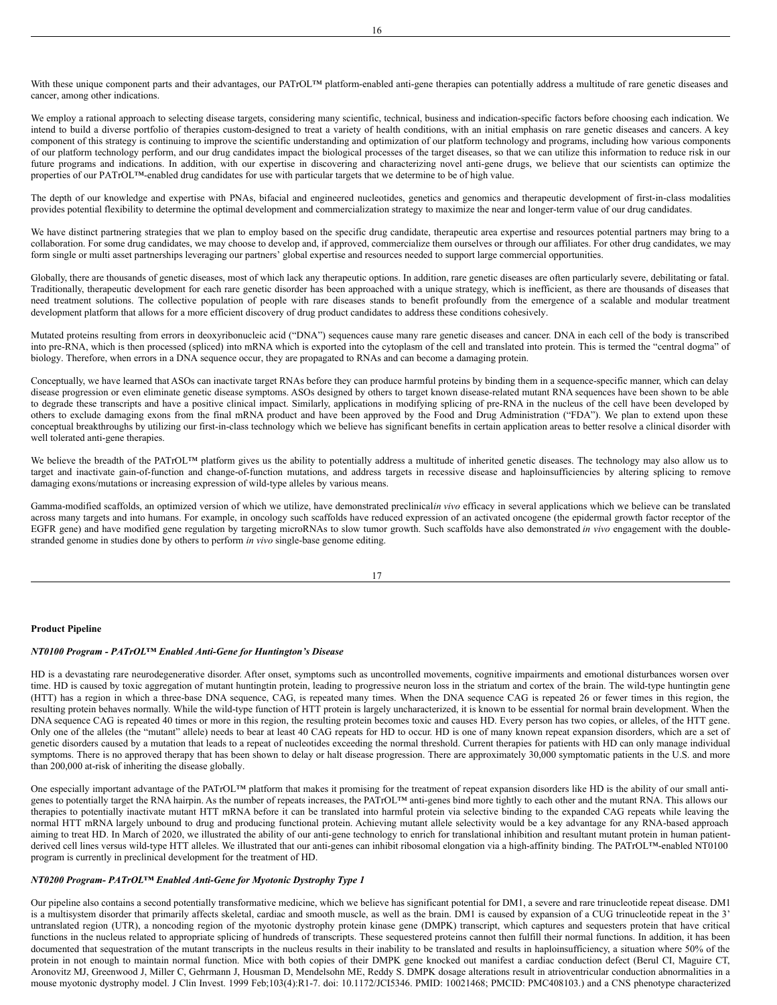With these unique component parts and their advantages, our PATrOL™ platform-enabled anti-gene therapies can potentially address a multitude of rare genetic diseases and cancer, among other indications.

We employ a rational approach to selecting disease targets, considering many scientific, technical, business and indication-specific factors before choosing each indication. We intend to build a diverse portfolio of therapies custom-designed to treat a variety of health conditions, with an initial emphasis on rare genetic diseases and cancers. A key component of this strategy is continuing to improve the scientific understanding and optimization of our platform technology and programs, including how various components of our platform technology perform, and our drug candidates impact the biological processes of the target diseases, so that we can utilize this information to reduce risk in our future programs and indications. In addition, with our expertise in discovering and characterizing novel anti-gene drugs, we believe that our scientists can optimize the properties of our PATrOL™-enabled drug candidates for use with particular targets that we determine to be of high value.

The depth of our knowledge and expertise with PNAs, bifacial and engineered nucleotides, genetics and genomics and therapeutic development of first-in-class modalities provides potential flexibility to determine the optimal development and commercialization strategy to maximize the near and longer-term value of our drug candidates.

We have distinct partnering strategies that we plan to employ based on the specific drug candidate, therapeutic area expertise and resources potential partners may bring to a collaboration. For some drug candidates, we may choose to develop and, if approved, commercialize them ourselves or through our affiliates. For other drug candidates, we may form single or multi asset partnerships leveraging our partners' global expertise and resources needed to support large commercial opportunities.

Globally, there are thousands of genetic diseases, most of which lack any therapeutic options. In addition, rare genetic diseases are often particularly severe, debilitating or fatal. Traditionally, therapeutic development for each rare genetic disorder has been approached with a unique strategy, which is inefficient, as there are thousands of diseases that need treatment solutions. The collective population of people with rare diseases stands to benefit profoundly from the emergence of a scalable and modular treatment development platform that allows for a more efficient discovery of drug product candidates to address these conditions cohesively.

Mutated proteins resulting from errors in deoxyribonucleic acid ("DNA") sequences cause many rare genetic diseases and cancer. DNA in each cell of the body is transcribed into pre-RNA, which is then processed (spliced) into mRNA which is exported into the cytoplasm of the cell and translated into protein. This is termed the "central dogma" of biology. Therefore, when errors in a DNA sequence occur, they are propagated to RNAs and can become a damaging protein.

Conceptually, we have learned that ASOs can inactivate target RNAs before they can produce harmful proteins by binding them in a sequence-specific manner, which can delay disease progression or even eliminate genetic disease symptoms. ASOs designed by others to target known disease-related mutant RNA sequences have been shown to be able to degrade these transcripts and have a positive clinical impact. Similarly, applications in modifying splicing of pre-RNA in the nucleus of the cell have been developed by others to exclude damaging exons from the final mRNA product and have been approved by the Food and Drug Administration ("FDA"). We plan to extend upon these conceptual breakthroughs by utilizing our first-in-class technology which we believe has significant benefits in certain application areas to better resolve a clinical disorder with well tolerated anti-gene therapies.

We believe the breadth of the PATrOL™ platform gives us the ability to potentially address a multitude of inherited genetic diseases. The technology may also allow us to target and inactivate gain-of-function and change-of-function mutations, and address targets in recessive disease and haploinsufficiencies by altering splicing to remove damaging exons/mutations or increasing expression of wild-type alleles by various means.

Gamma-modified scaffolds, an optimized version of which we utilize, have demonstrated preclinical*in vivo* efficacy in several applications which we believe can be translated across many targets and into humans. For example, in oncology such scaffolds have reduced expression of an activated oncogene (the epidermal growth factor receptor of the EGFR gene) and have modified gene regulation by targeting microRNAs to slow tumor growth. Such scaffolds have also demonstrated *in vivo* engagement with the doublestranded genome in studies done by others to perform *in vivo* single-base genome editing.

### **Product Pipeline**

### *NT0100 Program - PATrOL™ Enabled Anti-Gene for Huntington's Disease*

HD is a devastating rare neurodegenerative disorder. After onset, symptoms such as uncontrolled movements, cognitive impairments and emotional disturbances worsen over time. HD is caused by toxic aggregation of mutant huntingtin protein, leading to progressive neuron loss in the striatum and cortex of the brain. The wild-type huntingtin gene (HTT) has a region in which a three-base DNA sequence, CAG, is repeated many times. When the DNA sequence CAG is repeated 26 or fewer times in this region, the resulting protein behaves normally. While the wild-type function of HTT protein is largely uncharacterized, it is known to be essential for normal brain development. When the DNA sequence CAG is repeated 40 times or more in this region, the resulting protein becomes toxic and causes HD. Every person has two copies, or alleles, of the HTT gene. Only one of the alleles (the "mutant" allele) needs to bear at least 40 CAG repeats for HD to occur. HD is one of many known repeat expansion disorders, which are a set of genetic disorders caused by a mutation that leads to a repeat of nucleotides exceeding the normal threshold. Current therapies for patients with HD can only manage individual symptoms. There is no approved therapy that has been shown to delay or halt disease progression. There are approximately 30,000 symptomatic patients in the U.S. and more than 200,000 at-risk of inheriting the disease globally.

One especially important advantage of the PATrOL™ platform that makes it promising for the treatment of repeat expansion disorders like HD is the ability of our small antigenes to potentially target the RNA hairpin. As the number of repeats increases, the PATrOL™ anti-genes bind more tightly to each other and the mutant RNA. This allows our therapies to potentially inactivate mutant HTT mRNA before it can be translated into harmful protein via selective binding to the expanded CAG repeats while leaving the normal HTT mRNA largely unbound to drug and producing functional protein. Achieving mutant allele selectivity would be a key advantage for any RNA-based approach aiming to treat HD. In March of 2020, we illustrated the ability of our anti-gene technology to enrich for translational inhibition and resultant mutant protein in human patientderived cell lines versus wild-type HTT alleles. We illustrated that our anti-genes can inhibit ribosomal elongation via a high-affinity binding. The PATrOL™-enabled NT0100 program is currently in preclinical development for the treatment of HD.

### *NT0200 Program- PATrOL™ Enabled Anti-Gene for Myotonic Dystrophy Type 1*

Our pipeline also contains a second potentially transformative medicine, which we believe has significant potential for DM1, a severe and rare trinucleotide repeat disease. DM1 is a multisystem disorder that primarily affects skeletal, cardiac and smooth muscle, as well as the brain. DM1 is caused by expansion of a CUG trinucleotide repeat in the 3' untranslated region (UTR), a noncoding region of the myotonic dystrophy protein kinase gene (DMPK) transcript, which captures and sequesters protein that have critical functions in the nucleus related to appropriate splicing of hundreds of transcripts. These sequestered proteins cannot then fulfill their normal functions. In addition, it has been documented that sequestration of the mutant transcripts in the nucleus results in their inability to be translated and results in haploinsufficiency, a situation where 50% of the protein in not enough to maintain normal function. Mice with both copies of their DMPK gene knocked out manifest a cardiac conduction defect (Berul CI, Maguire CT, Aronovitz MJ, Greenwood J, Miller C, Gehrmann J, Housman D, Mendelsohn ME, Reddy S. DMPK dosage alterations result in atrioventricular conduction abnormalities in a mouse myotonic dystrophy model. J Clin Invest. 1999 Feb;103(4):R1-7. doi: 10.1172/JCI5346. PMID: 10021468; PMCID: PMC408103.) and a CNS phenotype characterized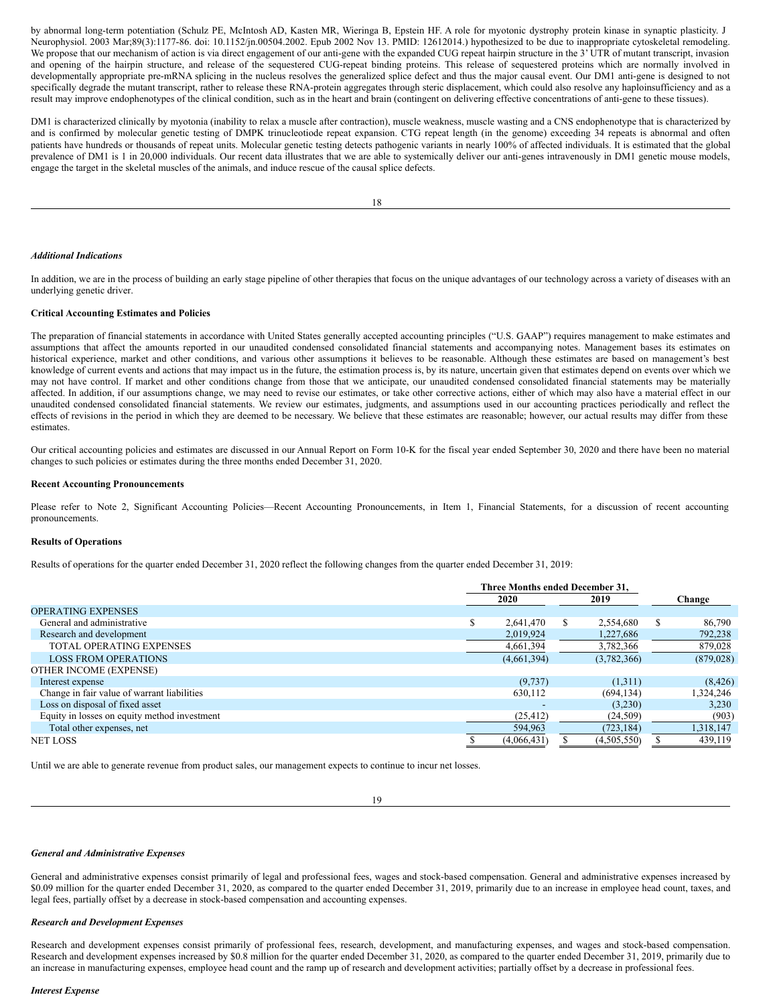by abnormal long-term potentiation (Schulz PE, McIntosh AD, Kasten MR, Wieringa B, Epstein HF. A role for myotonic dystrophy protein kinase in synaptic plasticity. J Neurophysiol. 2003 Mar;89(3):1177-86. doi: 10.1152/jn.00504.2002. Epub 2002 Nov 13. PMID: 12612014.) hypothesized to be due to inappropriate cytoskeletal remodeling. We propose that our mechanism of action is via direct engagement of our anti-gene with the expanded CUG repeat hairpin structure in the 3' UTR of mutant transcript, invasion and opening of the hairpin structure, and release of the sequestered CUG-repeat binding proteins. This release of sequestered proteins which are normally involved in developmentally appropriate pre-mRNA splicing in the nucleus resolves the generalized splice defect and thus the major causal event. Our DM1 anti-gene is designed to not specifically degrade the mutant transcript, rather to release these RNA-protein aggregates through steric displacement, which could also resolve any haploinsufficiency and as a result may improve endophenotypes of the clinical condition, such as in the heart and brain (contingent on delivering effective concentrations of anti-gene to these tissues).

DM1 is characterized clinically by myotonia (inability to relax a muscle after contraction), muscle weakness, muscle wasting and a CNS endophenotype that is characterized by and is confirmed by molecular genetic testing of DMPK trinucleotiode repeat expansion. CTG repeat length (in the genome) exceeding 34 repeats is abnormal and often patients have hundreds or thousands of repeat units. Molecular genetic testing detects pathogenic variants in nearly 100% of affected individuals. It is estimated that the global prevalence of DM1 is 1 in 20,000 individuals. Our recent data illustrates that we are able to systemically deliver our anti-genes intravenously in DM1 genetic mouse models, engage the target in the skeletal muscles of the animals, and induce rescue of the causal splice defects.

# *Additional Indications*

In addition, we are in the process of building an early stage pipeline of other therapies that focus on the unique advantages of our technology across a variety of diseases with an underlying genetic driver.

#### **Critical Accounting Estimates and Policies**

The preparation of financial statements in accordance with United States generally accepted accounting principles ("U.S. GAAP") requires management to make estimates and assumptions that affect the amounts reported in our unaudited condensed consolidated financial statements and accompanying notes. Management bases its estimates on historical experience, market and other conditions, and various other assumptions it believes to be reasonable. Although these estimates are based on management's best knowledge of current events and actions that may impact us in the future, the estimation process is, by its nature, uncertain given that estimates depend on events over which we may not have control. If market and other conditions change from those that we anticipate, our unaudited condensed consolidated financial statements may be materially affected. In addition, if our assumptions change, we may need to revise our estimates, or take other corrective actions, either of which may also have a material effect in our unaudited condensed consolidated financial statements. We review our estimates, judgments, and assumptions used in our accounting practices periodically and reflect the effects of revisions in the period in which they are deemed to be necessary. We believe that these estimates are reasonable; however, our actual results may differ from these estimates.

Our critical accounting policies and estimates are discussed in our Annual Report on Form 10-K for the fiscal year ended September 30, 2020 and there have been no material changes to such policies or estimates during the three months ended December 31, 2020.

#### **Recent Accounting Pronouncements**

Please refer to Note 2, Significant Accounting Policies—Recent Accounting Pronouncements, in Item 1, Financial Statements, for a discussion of recent accounting pronouncements.

#### **Results of Operations**

Results of operations for the quarter ended December 31, 2020 reflect the following changes from the quarter ended December 31, 2019:

|                                              | Three Months ended December 31, |  |             |     |            |  |
|----------------------------------------------|---------------------------------|--|-------------|-----|------------|--|
|                                              | 2020                            |  | 2019        |     | Change     |  |
| <b>OPERATING EXPENSES</b>                    |                                 |  |             |     |            |  |
| General and administrative                   | 2.641.470                       |  | 2.554.680   | \$. | 86,790     |  |
| Research and development                     | 2,019,924                       |  | 1,227,686   |     | 792,238    |  |
| <b>TOTAL OPERATING EXPENSES</b>              | 4,661,394                       |  | 3.782.366   |     | 879,028    |  |
| <b>LOSS FROM OPERATIONS</b>                  | (4,661,394)                     |  | (3,782,366) |     | (879, 028) |  |
| OTHER INCOME (EXPENSE)                       |                                 |  |             |     |            |  |
| Interest expense                             | (9, 737)                        |  | (1,311)     |     | (8,426)    |  |
| Change in fair value of warrant liabilities  | 630.112                         |  | (694, 134)  |     | 1,324,246  |  |
| Loss on disposal of fixed asset              |                                 |  | (3,230)     |     | 3,230      |  |
| Equity in losses on equity method investment | (25, 412)                       |  | (24, 509)   |     | (903)      |  |
| Total other expenses, net                    | 594.963                         |  | (723, 184)  |     | 1,318,147  |  |
| <b>NET LOSS</b>                              | (4,066,431)                     |  | (4,505,550) |     | 439,119    |  |

Until we are able to generate revenue from product sales, our management expects to continue to incur net losses.

### *General and Administrative Expenses*

General and administrative expenses consist primarily of legal and professional fees, wages and stock-based compensation. General and administrative expenses increased by \$0.09 million for the quarter ended December 31, 2020, as compared to the quarter ended December 31, 2019, primarily due to an increase in employee head count, taxes, and legal fees, partially offset by a decrease in stock-based compensation and accounting expenses.

### *Research and Development Expenses*

Research and development expenses consist primarily of professional fees, research, development, and manufacturing expenses, and wages and stock-based compensation. Research and development expenses increased by \$0.8 million for the quarter ended December 31, 2020, as compared to the quarter ended December 31, 2019, primarily due to an increase in manufacturing expenses, employee head count and the ramp up of research and development activities; partially offset by a decrease in professional fees.

#### *Interest Expense*

<sup>19</sup>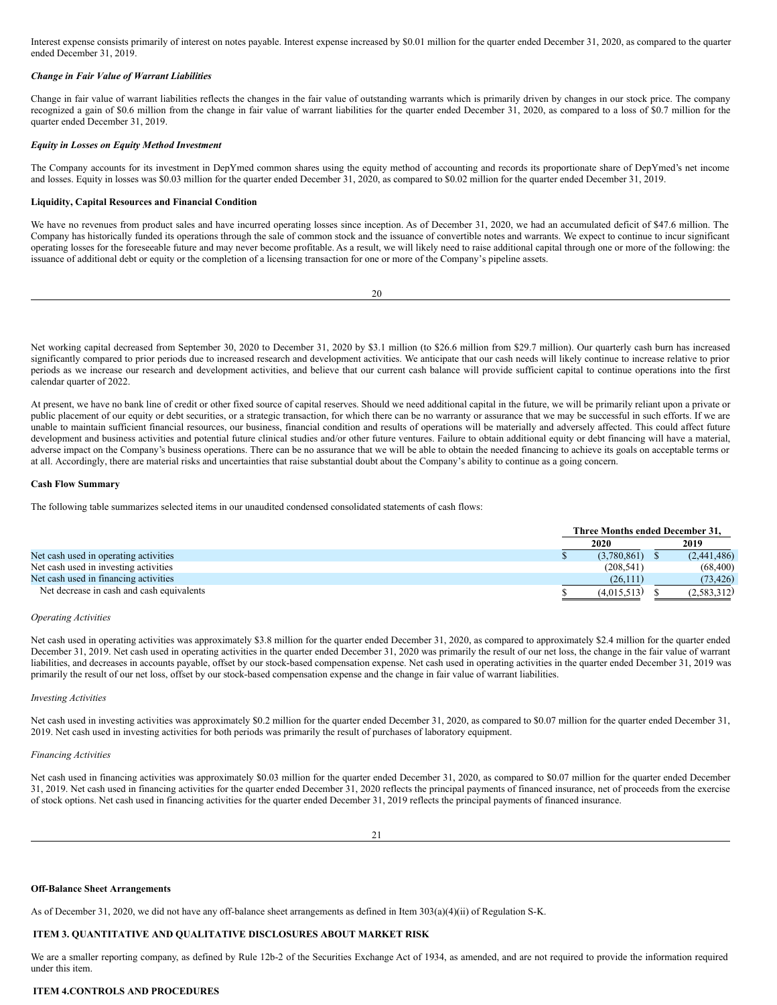Interest expense consists primarily of interest on notes payable. Interest expense increased by \$0.01 million for the quarter ended December 31, 2020, as compared to the quarter ended December 31, 2019.

## *Change in Fair Value of Warrant Liabilities*

Change in fair value of warrant liabilities reflects the changes in the fair value of outstanding warrants which is primarily driven by changes in our stock price. The company recognized a gain of \$0.6 million from the change in fair value of warrant liabilities for the quarter ended December 31, 2020, as compared to a loss of \$0.7 million for the quarter ended December 31, 2019.

### *Equity in Losses on Equity Method Investment*

The Company accounts for its investment in DepYmed common shares using the equity method of accounting and records its proportionate share of DepYmed's net income and losses. Equity in losses was \$0.03 million for the quarter ended December 31, 2020, as compared to \$0.02 million for the quarter ended December 31, 2019.

### **Liquidity, Capital Resources and Financial Condition**

We have no revenues from product sales and have incurred operating losses since inception. As of December 31, 2020, we had an accumulated deficit of \$47.6 million. The Company has historically funded its operations through the sale of common stock and the issuance of convertible notes and warrants. We expect to continue to incur significant operating losses for the foreseeable future and may never become profitable. As a result, we will likely need to raise additional capital through one or more of the following: the issuance of additional debt or equity or the completion of a licensing transaction for one or more of the Company's pipeline assets.

|   | I           |
|---|-------------|
| I | ٦<br>×<br>I |

Net working capital decreased from September 30, 2020 to December 31, 2020 by \$3.1 million (to \$26.6 million from \$29.7 million). Our quarterly cash burn has increased significantly compared to prior periods due to increased research and development activities. We anticipate that our cash needs will likely continue to increase relative to prior periods as we increase our research and development activities, and believe that our current cash balance will provide sufficient capital to continue operations into the first calendar quarter of 2022.

At present, we have no bank line of credit or other fixed source of capital reserves. Should we need additional capital in the future, we will be primarily reliant upon a private or public placement of our equity or debt securities, or a strategic transaction, for which there can be no warranty or assurance that we may be successful in such efforts. If we are unable to maintain sufficient financial resources, our business, financial condition and results of operations will be materially and adversely affected. This could affect future development and business activities and potential future clinical studies and/or other future ventures. Failure to obtain additional equity or debt financing will have a material, adverse impact on the Company's business operations. There can be no assurance that we will be able to obtain the needed financing to achieve its goals on acceptable terms or at all. Accordingly, there are material risks and uncertainties that raise substantial doubt about the Company's ability to continue as a going concern.

#### **Cash Flow Summary**

The following table summarizes selected items in our unaudited condensed consolidated statements of cash flows:

|                                           |             | Three Months ended December 31. |  |  |  |
|-------------------------------------------|-------------|---------------------------------|--|--|--|
|                                           | 2020        | 2019                            |  |  |  |
| Net cash used in operating activities     | (3.780.861) | (2,441,486)                     |  |  |  |
| Net cash used in investing activities     | (208.541)   | (68, 400)                       |  |  |  |
| Net cash used in financing activities     | (26.111)    | (73.426)                        |  |  |  |
| Net decrease in cash and cash equivalents | (4,015,513) | (2,583,312)                     |  |  |  |

#### *Operating Activities*

Net cash used in operating activities was approximately \$3.8 million for the quarter ended December 31, 2020, as compared to approximately \$2.4 million for the quarter ended December 31, 2019. Net cash used in operating activities in the quarter ended December 31, 2020 was primarily the result of our net loss, the change in the fair value of warrant liabilities, and decreases in accounts payable, offset by our stock-based compensation expense. Net cash used in operating activities in the quarter ended December 31, 2019 was primarily the result of our net loss, offset by our stock-based compensation expense and the change in fair value of warrant liabilities.

# *Investing Activities*

Net cash used in investing activities was approximately \$0.2 million for the quarter ended December 31, 2020, as compared to \$0.07 million for the quarter ended December 31, 2019. Net cash used in investing activities for both periods was primarily the result of purchases of laboratory equipment.

#### *Financing Activities*

Net cash used in financing activities was approximately \$0.03 million for the quarter ended December 31, 2020, as compared to \$0.07 million for the quarter ended December 31, 2019. Net cash used in financing activities for the quarter ended December 31, 2020 reflects the principal payments of financed insurance, net of proceeds from the exercise of stock options. Net cash used in financing activities for the quarter ended December 31, 2019 reflects the principal payments of financed insurance.

#### **Off-Balance Sheet Arrangements**

As of December 31, 2020, we did not have any off-balance sheet arrangements as defined in Item 303(a)(4)(ii) of Regulation S-K.

### <span id="page-13-0"></span>**ITEM 3. QUANTITATIVE AND QUALITATIVE DISCLOSURES ABOUT MARKET RISK**

We are a smaller reporting company, as defined by Rule 12b-2 of the Securities Exchange Act of 1934, as amended, and are not required to provide the information required under this item.

### <span id="page-13-1"></span>**ITEM 4.CONTROLS AND PROCEDURES**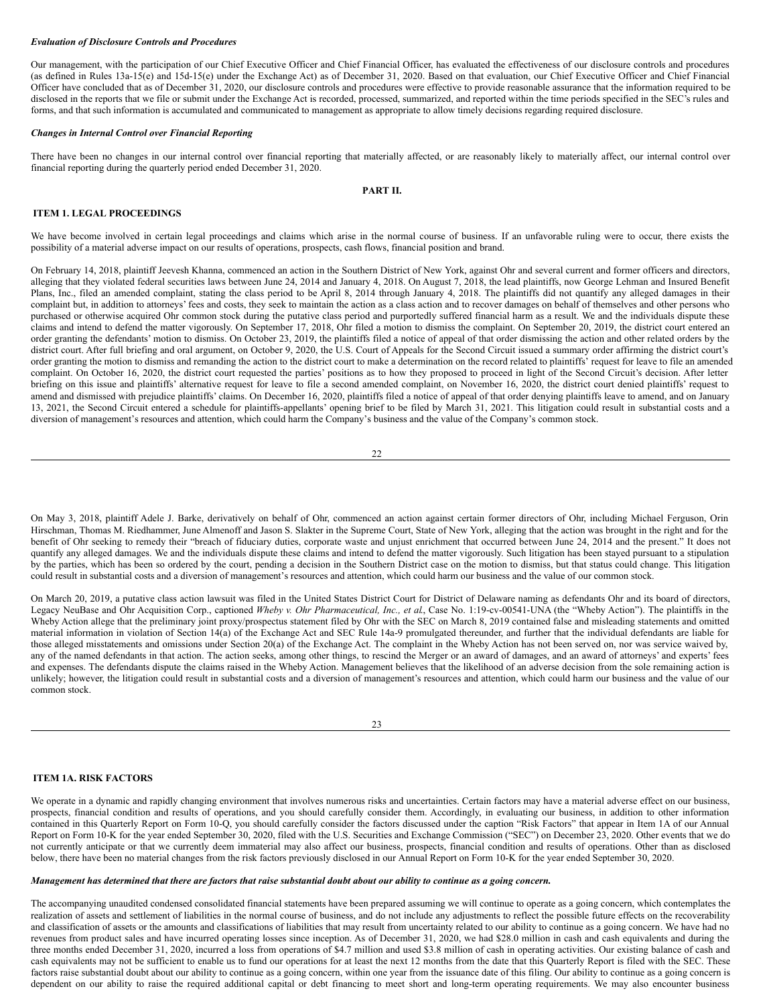#### *Evaluation of Disclosure Controls and Procedures*

Our management, with the participation of our Chief Executive Officer and Chief Financial Officer, has evaluated the effectiveness of our disclosure controls and procedures (as defined in Rules 13a-15(e) and 15d-15(e) under the Exchange Act) as of December 31, 2020. Based on that evaluation, our Chief Executive Officer and Chief Financial Officer have concluded that as of December 31, 2020, our disclosure controls and procedures were effective to provide reasonable assurance that the information required to be disclosed in the reports that we file or submit under the Exchange Act is recorded, processed, summarized, and reported within the time periods specified in the SEC's rules and forms, and that such information is accumulated and communicated to management as appropriate to allow timely decisions regarding required disclosure.

### *Changes in Internal Control over Financial Reporting*

There have been no changes in our internal control over financial reporting that materially affected, or are reasonably likely to materially affect, our internal control over financial reporting during the quarterly period ended December 31, 2020.

# <span id="page-14-0"></span>**PART II.**

### <span id="page-14-1"></span>**ITEM 1. LEGAL PROCEEDINGS**

We have become involved in certain legal proceedings and claims which arise in the normal course of business. If an unfavorable ruling were to occur, there exists the possibility of a material adverse impact on our results of operations, prospects, cash flows, financial position and brand.

On February 14, 2018, plaintiff Jeevesh Khanna, commenced an action in the Southern District of New York, against Ohr and several current and former officers and directors, alleging that they violated federal securities laws between June 24, 2014 and January 4, 2018. On August 7, 2018, the lead plaintiffs, now George Lehman and Insured Benefit Plans, Inc., filed an amended complaint, stating the class period to be April 8, 2014 through January 4, 2018. The plaintiffs did not quantify any alleged damages in their complaint but, in addition to attorneys' fees and costs, they seek to maintain the action as a class action and to recover damages on behalf of themselves and other persons who purchased or otherwise acquired Ohr common stock during the putative class period and purportedly suffered financial harm as a result. We and the individuals dispute these claims and intend to defend the matter vigorously. On September 17, 2018, Ohr filed a motion to dismiss the complaint. On September 20, 2019, the district court entered an order granting the defendants' motion to dismiss. On October 23, 2019, the plaintiffs filed a notice of appeal of that order dismissing the action and other related orders by the district court. After full briefing and oral argument, on October 9, 2020, the U.S. Court of Appeals for the Second Circuit issued a summary order affirming the district court's order granting the motion to dismiss and remanding the action to the district court to make a determination on the record related to plaintiffs' request for leave to file an amended complaint. On October 16, 2020, the district court requested the parties' positions as to how they proposed to proceed in light of the Second Circuit's decision. After letter briefing on this issue and plaintiffs' alternative request for leave to file a second amended complaint, on November 16, 2020, the district court denied plaintiffs' request to amend and dismissed with prejudice plaintiffs' claims. On December 16, 2020, plaintiffs filed a notice of appeal of that order denying plaintiffs leave to amend, and on January 13, 2021, the Second Circuit entered a schedule for plaintiffs-appellants' opening brief to be filed by March 31, 2021. This litigation could result in substantial costs and a diversion of management's resources and attention, which could harm the Company's business and the value of the Company's common stock.

22

On May 3, 2018, plaintiff Adele J. Barke, derivatively on behalf of Ohr, commenced an action against certain former directors of Ohr, including Michael Ferguson, Orin Hirschman, Thomas M. Riedhammer, June Almenoff and Jason S. Slakter in the Supreme Court, State of New York, alleging that the action was brought in the right and for the benefit of Ohr seeking to remedy their "breach of fiduciary duties, corporate waste and unjust enrichment that occurred between June 24, 2014 and the present." It does not quantify any alleged damages. We and the individuals dispute these claims and intend to defend the matter vigorously. Such litigation has been stayed pursuant to a stipulation by the parties, which has been so ordered by the court, pending a decision in the Southern District case on the motion to dismiss, but that status could change. This litigation could result in substantial costs and a diversion of management's resources and attention, which could harm our business and the value of our common stock.

On March 20, 2019, a putative class action lawsuit was filed in the United States District Court for District of Delaware naming as defendants Ohr and its board of directors, Legacy NeuBase and Ohr Acquisition Corp., captioned *Wheby v. Ohr Pharmaceutical, Inc., et al*., Case No. 1:19-cv-00541-UNA (the "Wheby Action"). The plaintiffs in the Wheby Action allege that the preliminary joint proxy/prospectus statement filed by Ohr with the SEC on March 8, 2019 contained false and misleading statements and omitted material information in violation of Section 14(a) of the Exchange Act and SEC Rule 14a-9 promulgated thereunder, and further that the individual defendants are liable for those alleged misstatements and omissions under Section 20(a) of the Exchange Act. The complaint in the Wheby Action has not been served on, nor was service waived by, any of the named defendants in that action. The action seeks, among other things, to rescind the Merger or an award of damages, and an award of attorneys' and experts' fees and expenses. The defendants dispute the claims raised in the Wheby Action. Management believes that the likelihood of an adverse decision from the sole remaining action is unlikely; however, the litigation could result in substantial costs and a diversion of management's resources and attention, which could harm our business and the value of our common stock.

# <span id="page-14-2"></span>**ITEM 1A. RISK FACTORS**

We operate in a dynamic and rapidly changing environment that involves numerous risks and uncertainties. Certain factors may have a material adverse effect on our business, prospects, financial condition and results of operations, and you should carefully consider them. Accordingly, in evaluating our business, in addition to other information contained in this Quarterly Report on Form 10-Q, you should carefully consider the factors discussed under the caption "Risk Factors" that appear in Item 1A of our Annual Report on Form 10-K for the year ended September 30, 2020, filed with the U.S. Securities and Exchange Commission ("SEC") on December 23, 2020. Other events that we do not currently anticipate or that we currently deem immaterial may also affect our business, prospects, financial condition and results of operations. Other than as disclosed below, there have been no material changes from the risk factors previously disclosed in our Annual Report on Form 10-K for the year ended September 30, 2020.

# Management has determined that there are factors that raise substantial doubt about our ability to continue as a going concern.

The accompanying unaudited condensed consolidated financial statements have been prepared assuming we will continue to operate as a going concern, which contemplates the realization of assets and settlement of liabilities in the normal course of business, and do not include any adjustments to reflect the possible future effects on the recoverability and classification of assets or the amounts and classifications of liabilities that may result from uncertainty related to our ability to continue as a going concern. We have had no revenues from product sales and have incurred operating losses since inception. As of December 31, 2020, we had \$28.0 million in cash and cash equivalents and during the three months ended December 31, 2020, incurred a loss from operations of \$4.7 million and used \$3.8 million of cash in operating activities. Our existing balance of cash and cash equivalents may not be sufficient to enable us to fund our operations for at least the next 12 months from the date that this Quarterly Report is filed with the SEC. These factors raise substantial doubt about our ability to continue as a going concern, within one year from the issuance date of this filing. Our ability to continue as a going concern is dependent on our ability to raise the required additional capital or debt financing to meet short and long-term operating requirements. We may also encounter business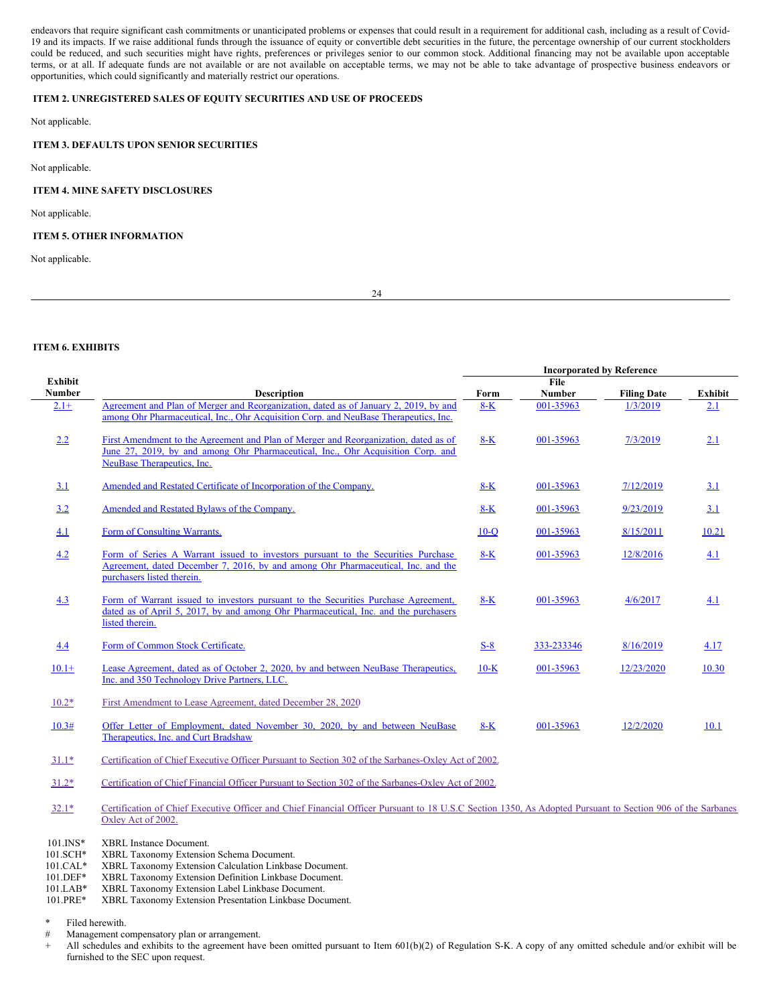endeavors that require significant cash commitments or unanticipated problems or expenses that could result in a requirement for additional cash, including as a result of Covid-19 and its impacts. If we raise additional funds through the issuance of equity or convertible debt securities in the future, the percentage ownership of our current stockholders could be reduced, and such securities might have rights, preferences or privileges senior to our common stock. Additional financing may not be available upon acceptable terms, or at all. If adequate funds are not available or are not available on acceptable terms, we may not be able to take advantage of prospective business endeavors or opportunities, which could significantly and materially restrict our operations.

# <span id="page-15-0"></span>**ITEM 2. UNREGISTERED SALES OF EQUITY SECURITIES AND USE OF PROCEEDS**

Not applicable.

# <span id="page-15-1"></span>**ITEM 3. DEFAULTS UPON SENIOR SECURITIES**

Not applicable.

## <span id="page-15-2"></span>**ITEM 4. MINE SAFETY DISCLOSURES**

Not applicable.

# <span id="page-15-3"></span>**ITEM 5. OTHER INFORMATION**

Not applicable.

24

# <span id="page-15-4"></span>**ITEM 6. EXHIBITS**

|                |                                                                                                                                                                                                      | <b>Incorporated by Reference</b> |               |                    |                |
|----------------|------------------------------------------------------------------------------------------------------------------------------------------------------------------------------------------------------|----------------------------------|---------------|--------------------|----------------|
| <b>Exhibit</b> |                                                                                                                                                                                                      |                                  | File          |                    |                |
| <b>Number</b>  | <b>Description</b>                                                                                                                                                                                   | Form                             | <b>Number</b> | <b>Filing Date</b> | <b>Exhibit</b> |
| $2.1+$         | Agreement and Plan of Merger and Reorganization, dated as of January 2, 2019, by and<br>among Ohr Pharmaceutical, Inc., Ohr Acquisition Corp. and NeuBase Therapeutics, Inc.                         | $8-K$                            | 001-35963     | 1/3/2019           | 2.1            |
| 2.2            | First Amendment to the Agreement and Plan of Merger and Reorganization, dated as of<br>June 27, 2019, by and among Ohr Pharmaceutical, Inc., Ohr Acquisition Corp. and<br>NeuBase Therapeutics, Inc. | $8-K$                            | 001-35963     | 7/3/2019           | 2.1            |
| 3.1            | Amended and Restated Certificate of Incorporation of the Company.                                                                                                                                    | $8-K$                            | 001-35963     | 7/12/2019          | 3.1            |
| 3.2            | Amended and Restated Bylaws of the Company.                                                                                                                                                          | $8-K$                            | 001-35963     | 9/23/2019          | 3.1            |
| 4.1            | Form of Consulting Warrants.                                                                                                                                                                         | $10-Q$                           | 001-35963     | 8/15/2011          | 10.21          |
| 4.2            | Form of Series A Warrant issued to investors pursuant to the Securities Purchase<br>Agreement, dated December 7, 2016, by and among Ohr Pharmaceutical, Inc. and the<br>purchasers listed therein.   | $8-K$                            | 001-35963     | 12/8/2016          | 4.1            |
| 4.3            | Form of Warrant issued to investors pursuant to the Securities Purchase Agreement.<br>dated as of April 5, 2017, by and among Ohr Pharmaceutical, Inc. and the purchasers<br>listed therein.         | $8-K$                            | 001-35963     | 4/6/2017           | 4.1            |
| 4.4            | Form of Common Stock Certificate.                                                                                                                                                                    | $S-8$                            | 333-233346    | 8/16/2019          | 4.17           |
| $10.1+$        | Lease Agreement, dated as of October 2, 2020, by and between NeuBase Therapeutics,<br>Inc. and 350 Technology Drive Partners, LLC.                                                                   | $10-K$                           | 001-35963     | 12/23/2020         | 10.30          |
| $10.2*$        | First Amendment to Lease Agreement, dated December 28, 2020                                                                                                                                          |                                  |               |                    |                |
| 10.3#          | Offer Letter of Employment, dated November 30, 2020, by and between NeuBase<br>Therapeutics, Inc. and Curt Bradshaw                                                                                  | $8-K$                            | 001-35963     | 12/2/2020          | 10.1           |
| $31.1*$        | Certification of Chief Executive Officer Pursuant to Section 302 of the Sarbanes-Oxley Act of 2002.                                                                                                  |                                  |               |                    |                |
| $31.2*$        | Certification of Chief Financial Officer Pursuant to Section 302 of the Sarbanes-Oxley Act of 2002.                                                                                                  |                                  |               |                    |                |
| 22.14          | $0.011.07 \times 10^{10}$ $0.07 \times 10^{11}$ $0.07 \times 10^{10}$ $0.07 \times 10^{11}$ $0.00 \times 10^{11}$ $0.00 \times 10^{10}$ $0.00 \times 10^{10}$                                        |                                  |               |                    |                |

[32.1\\*](#page-21-0) [Certification](#page-21-0) of Chief Executive Officer and Chief Financial Officer Pursuant to 18 U.S.C Section 1350, As Adopted Pursuant to Section 906 of the Sarbanes Oxley Act of 2002.

101.INS\* XBRL Instance Document.<br>101.SCH\* XBRL Taxonomy Extension

- 101.SCH\* XBRL Taxonomy Extension Schema Document.<br>101.CAL\* XBRL Taxonomy Extension Calculation Linkbas
- 101.CAL\* XBRL Taxonomy Extension Calculation Linkbase Document.<br>101.DEF\* XBRL Taxonomy Extension Definition Linkbase Document.
- 101.DEF\* XBRL Taxonomy Extension Definition Linkbase Document.<br>101.LAB\* XBRL Taxonomy Extension Label Linkbase Document.
- 101.LAB\* XBRL Taxonomy Extension Label Linkbase Document.<br>101.PRE\* XBRL Taxonomy Extension Presentation Linkbase Docu
- XBRL Taxonomy Extension Presentation Linkbase Document.
- Filed herewith.
- # Management compensatory plan or arrangement.

+ All schedules and exhibits to the agreement have been omitted pursuant to Item 601(b)(2) of Regulation S-K. A copy of any omitted schedule and/or exhibit will be furnished to the SEC upon request.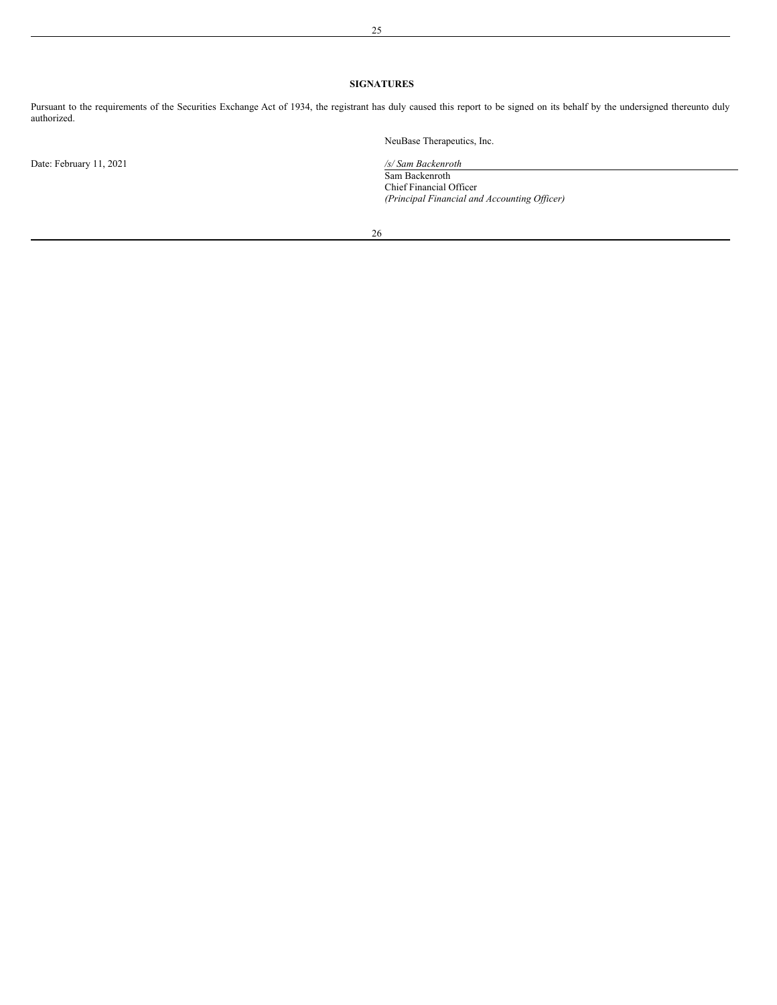# <span id="page-16-0"></span>**SIGNATURES**

Pursuant to the requirements of the Securities Exchange Act of 1934, the registrant has duly caused this report to be signed on its behalf by the undersigned thereunto duly authorized.

Date: February 11, 2021

NeuBase Therapeutics, Inc.

 $\frac{S}{S}$ Sam Backenroth Chief Financial Officer *(Principal Financial and Accounting Of icer)*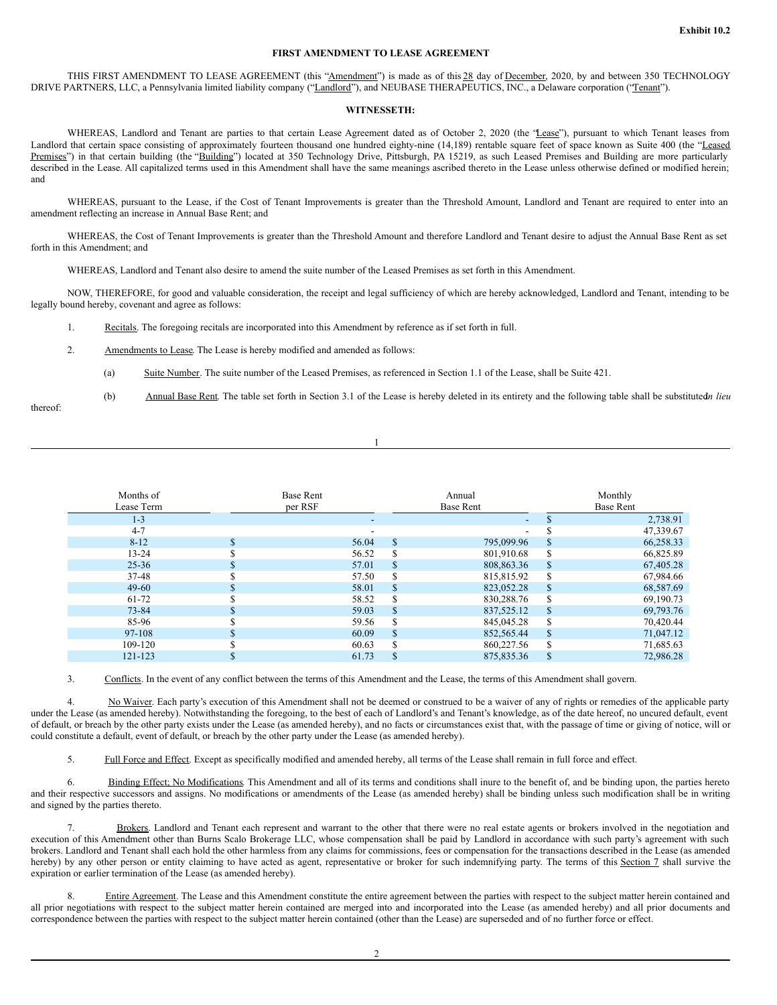## **FIRST AMENDMENT TO LEASE AGREEMENT**

<span id="page-17-0"></span>THIS FIRST AMENDMENT TO LEASE AGREEMENT (this "Amendment") is made as of this 28 day of December, 2020, by and between 350 TECHNOLOGY DRIVE PARTNERS, LLC, a Pennsylvania limited liability company ("Landlord"), and NEUBASE THERAPEUTICS, INC., a Delaware corporation ("Tenant").

# **WITNESSETH:**

WHEREAS, Landlord and Tenant are parties to that certain Lease Agreement dated as of October 2, 2020 (the "Lease"), pursuant to which Tenant leases from Landlord that certain space consisting of approximately fourteen thousand one hundred eighty-nine (14,189) rentable square feet of space known as Suite 400 (the "Leased Premises") in that certain building (the "Building") located at 350 Technology Drive, Pittsburgh, PA 15219, as such Leased Premises and Building are more particularly described in the Lease. All capitalized terms used in this Amendment shall have the same meanings ascribed thereto in the Lease unless otherwise defined or modified herein; and

WHEREAS, pursuant to the Lease, if the Cost of Tenant Improvements is greater than the Threshold Amount, Landlord and Tenant are required to enter into an amendment reflecting an increase in Annual Base Rent; and

WHEREAS, the Cost of Tenant Improvements is greater than the Threshold Amount and therefore Landlord and Tenant desire to adjust the Annual Base Rent as set forth in this Amendment; and

WHEREAS, Landlord and Tenant also desire to amend the suite number of the Leased Premises as set forth in this Amendment.

NOW, THEREFORE, for good and valuable consideration, the receipt and legal sufficiency of which are hereby acknowledged, Landlord and Tenant, intending to be legally bound hereby, covenant and agree as follows:

- 1. Recitals. The foregoing recitals are incorporated into this Amendment by reference as if set forth in full.
- 2. Amendments to Lease. The Lease is hereby modified and amended as follows:
	- (a) Suite Number. The suite number of the Leased Premises, as referenced in Section 1.1 of the Lease, shall be Suite 421.

thereof:

1

(b) Annual Base Rent. The table set forth in Section 3.1 of the Lease is hereby deleted in its entirety and the following table shall be substituted*in lieu*

| Months of<br>Lease Term | <b>Base Rent</b><br>per RSF |              | Annual<br><b>Base Rent</b> |              | Monthly<br><b>Base Rent</b> |
|-------------------------|-----------------------------|--------------|----------------------------|--------------|-----------------------------|
| $1 - 3$                 |                             |              | -                          |              | 2,738.91                    |
| $4 - 7$                 |                             |              | -                          |              | 47,339.67                   |
| $8 - 12$                | 56.04                       | $\mathbb{S}$ | 795,099.96                 | \$           | 66,258.33                   |
| $13 - 24$               | 56.52                       | S            | 801,910.68                 | \$           | 66,825.89                   |
| $25 - 36$               | 57.01                       | \$           | 808,863.36                 | \$           | 67,405.28                   |
| $37 - 48$               | 57.50                       | \$.          | 815,815.92                 | \$           | 67,984.66                   |
| $49-60$                 | 58.01                       | \$           | 823,052.28                 | $\mathbb{S}$ | 68,587.69                   |
| 61-72                   | 58.52                       | S            | 830,288.76                 | \$           | 69,190.73                   |
| 73-84                   | 59.03                       | \$           | 837,525.12                 | \$           | 69,793.76                   |
| 85-96                   | 59.56                       | \$.          | 845,045.28                 | \$           | 70,420.44                   |
| 97-108                  | 60.09                       | $\mathbb{S}$ | 852,565.44                 | $\mathbb{S}$ | 71,047.12                   |
| 109-120                 | 60.63                       | \$.          | 860,227.56                 | \$           | 71,685.63                   |
| 121-123                 | 61.73                       |              | 875, 835.36                | \$           | 72,986.28                   |

3. Conflicts. In the event of any conflict between the terms of this Amendment and the Lease, the terms of this Amendment shall govern.

4. No Waiver. Each party's execution of this Amendment shall not be deemed or construed to be a waiver of any of rights or remedies of the applicable party under the Lease (as amended hereby). Notwithstanding the foregoing, to the best of each of Landlord's and Tenant's knowledge, as of the date hereof, no uncured default, event of default, or breach by the other party exists under the Lease (as amended hereby), and no facts or circumstances exist that, with the passage of time or giving of notice, will or could constitute a default, event of default, or breach by the other party under the Lease (as amended hereby).

5. Full Force and Effect. Except as specifically modified and amended hereby, all terms of the Lease shall remain in full force and effect.

6. Binding Effect; No Modifications. This Amendment and all of its terms and conditions shall inure to the benefit of, and be binding upon, the parties hereto and their respective successors and assigns. No modifications or amendments of the Lease (as amended hereby) shall be binding unless such modification shall be in writing and signed by the parties thereto.

7. Brokers. Landlord and Tenant each represent and warrant to the other that there were no real estate agents or brokers involved in the negotiation and execution of this Amendment other than Burns Scalo Brokerage LLC, whose compensation shall be paid by Landlord in accordance with such party's agreement with such brokers. Landlord and Tenant shall each hold the other harmless from any claims for commissions, fees or compensation for the transactions described in the Lease (as amended hereby) by any other person or entity claiming to have acted as agent, representative or broker for such indemnifying party. The terms of this Section 7 shall survive the expiration or earlier termination of the Lease (as amended hereby).

Entire Agreement. The Lease and this Amendment constitute the entire agreement between the parties with respect to the subject matter herein contained and all prior negotiations with respect to the subject matter herein contained are merged into and incorporated into the Lease (as amended hereby) and all prior documents and correspondence between the parties with respect to the subject matter herein contained (other than the Lease) are superseded and of no further force or effect.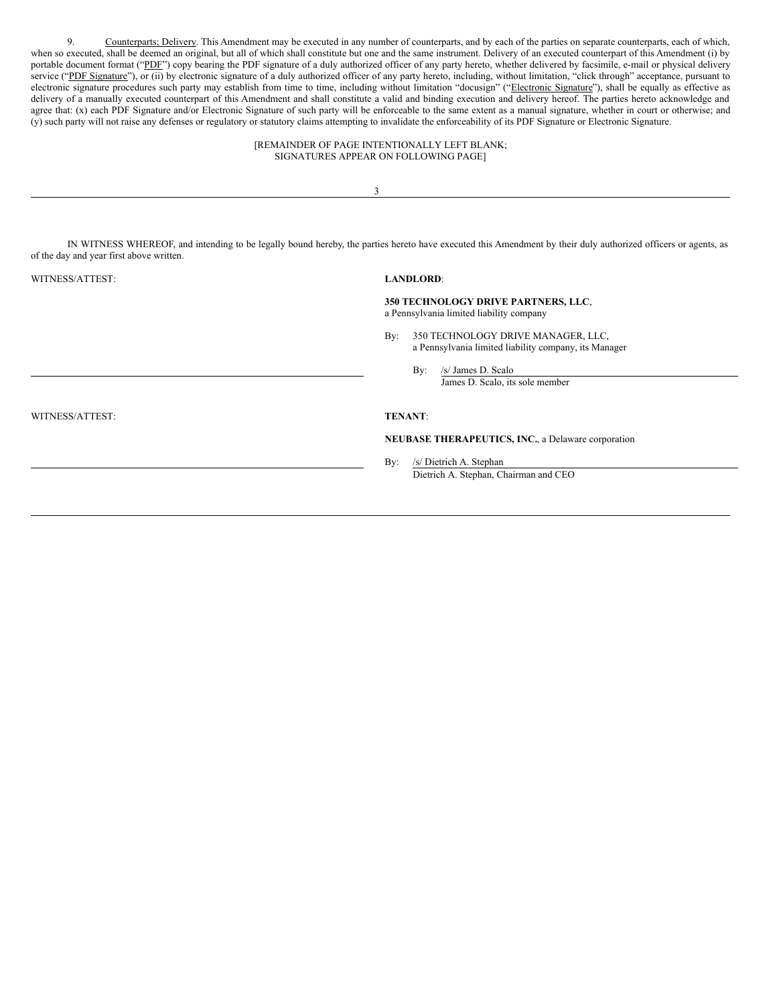9. Counterparts; Delivery. This Amendment may be executed in any number of counterparts, and by each of the parties on separate counterparts, each of which, when so executed, shall be deemed an original, but all of which shall constitute but one and the same instrument. Delivery of an executed counterpart of this Amendment (i) by portable document format ("PDF") copy bearing the PDF signature of a duly authorized officer of any party hereto, whether delivered by facsimile, e-mail or physical delivery service ("PDF Signature"), or (ii) by electronic signature of a duly authorized officer of any party hereto, including, without limitation, "click through" acceptance, pursuant to electronic signature procedures such party may establish from time to time, including without limitation "docusign" ("Electronic Signature"), shall be equally as effective as delivery of a manually executed counterpart of this Amendment and shall constitute a valid and binding execution and delivery hereof. The parties hereto acknowledge and agree that: (x) each PDF Signature and/or Electronic Signature of such party will be enforceable to the same extent as a manual signature, whether in court or otherwise; and (y) such party will not raise any defenses or regulatory or statutory claims attempting to invalidate the enforceability of its PDF Signature or Electronic Signature.

# [REMAINDER OF PAGE INTENTIONALLY LEFT BLANK; SIGNATURES APPEAR ON FOLLOWING PAGE]

3 IN WITNESS WHEREOF, and intending to be legally bound hereby, the parties hereto have executed this Amendment by their duly authorized officers or agents, as of the day and year first above written. WITNESS/ATTEST: **LANDLORD**: **350 TECHNOLOGY DRIVE PARTNERS, LLC**, a Pennsylvania limited liability company By: 350 TECHNOLOGY DRIVE MANAGER, LLC, a Pennsylvania limited liability company, its Manager By: /s/ James D. Scalo James D. Scalo, its sole member WITNESS/ATTEST: **TENANT**: **NEUBASE THERAPEUTICS, INC.**, a Delaware corporation By: /s/ Dietrich A. Stephan Dietrich A. Stephan, Chairman and CEO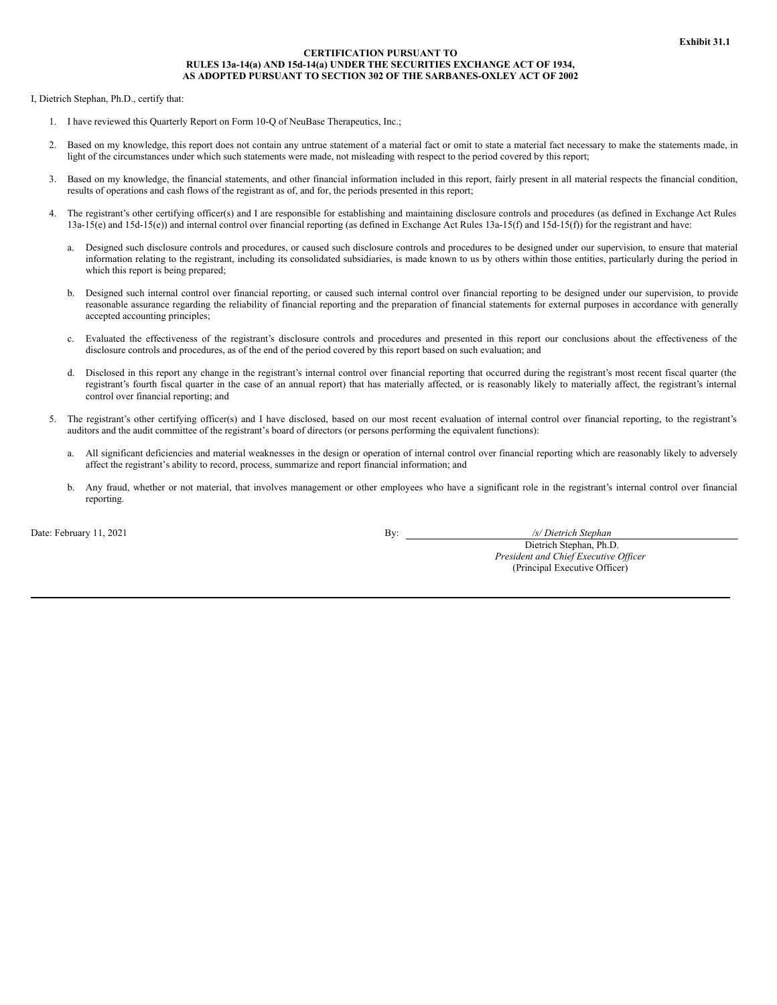# **CERTIFICATION PURSUANT TO RULES 13a-14(a) AND 15d-14(a) UNDER THE SECURITIES EXCHANGE ACT OF 1934, AS ADOPTED PURSUANT TO SECTION 302 OF THE SARBANES-OXLEY ACT OF 2002**

<span id="page-19-0"></span>I, Dietrich Stephan, Ph.D., certify that:

- 1. I have reviewed this Quarterly Report on Form 10-Q of NeuBase Therapeutics, Inc.;
- 2. Based on my knowledge, this report does not contain any untrue statement of a material fact or omit to state a material fact necessary to make the statements made, in light of the circumstances under which such statements were made, not misleading with respect to the period covered by this report;
- 3. Based on my knowledge, the financial statements, and other financial information included in this report, fairly present in all material respects the financial condition, results of operations and cash flows of the registrant as of, and for, the periods presented in this report;
- 4. The registrant's other certifying officer(s) and I are responsible for establishing and maintaining disclosure controls and procedures (as defined in Exchange Act Rules 13a-15(e) and 15d-15(e)) and internal control over financial reporting (as defined in Exchange Act Rules 13a-15(f) and 15d-15(f)) for the registrant and have:
	- a. Designed such disclosure controls and procedures, or caused such disclosure controls and procedures to be designed under our supervision, to ensure that material information relating to the registrant, including its consolidated subsidiaries, is made known to us by others within those entities, particularly during the period in which this report is being prepared;
	- b. Designed such internal control over financial reporting, or caused such internal control over financial reporting to be designed under our supervision, to provide reasonable assurance regarding the reliability of financial reporting and the preparation of financial statements for external purposes in accordance with generally accepted accounting principles;
	- c. Evaluated the effectiveness of the registrant's disclosure controls and procedures and presented in this report our conclusions about the effectiveness of the disclosure controls and procedures, as of the end of the period covered by this report based on such evaluation; and
	- d. Disclosed in this report any change in the registrant's internal control over financial reporting that occurred during the registrant's most recent fiscal quarter (the registrant's fourth fiscal quarter in the case of an annual report) that has materially affected, or is reasonably likely to materially affect, the registrant's internal control over financial reporting; and
- 5. The registrant's other certifying officer(s) and I have disclosed, based on our most recent evaluation of internal control over financial reporting, to the registrant's auditors and the audit committee of the registrant's board of directors (or persons performing the equivalent functions):
	- a. All significant deficiencies and material weaknesses in the design or operation of internal control over financial reporting which are reasonably likely to adversely affect the registrant's ability to record, process, summarize and report financial information; and
	- b. Any fraud, whether or not material, that involves management or other employees who have a significant role in the registrant's internal control over financial reporting.

Date: February 11, 2021 By: */s/ Dietrich Stephan*

Dietrich Stephan, Ph.D. *President and Chief Executive Of icer* (Principal Executive Officer)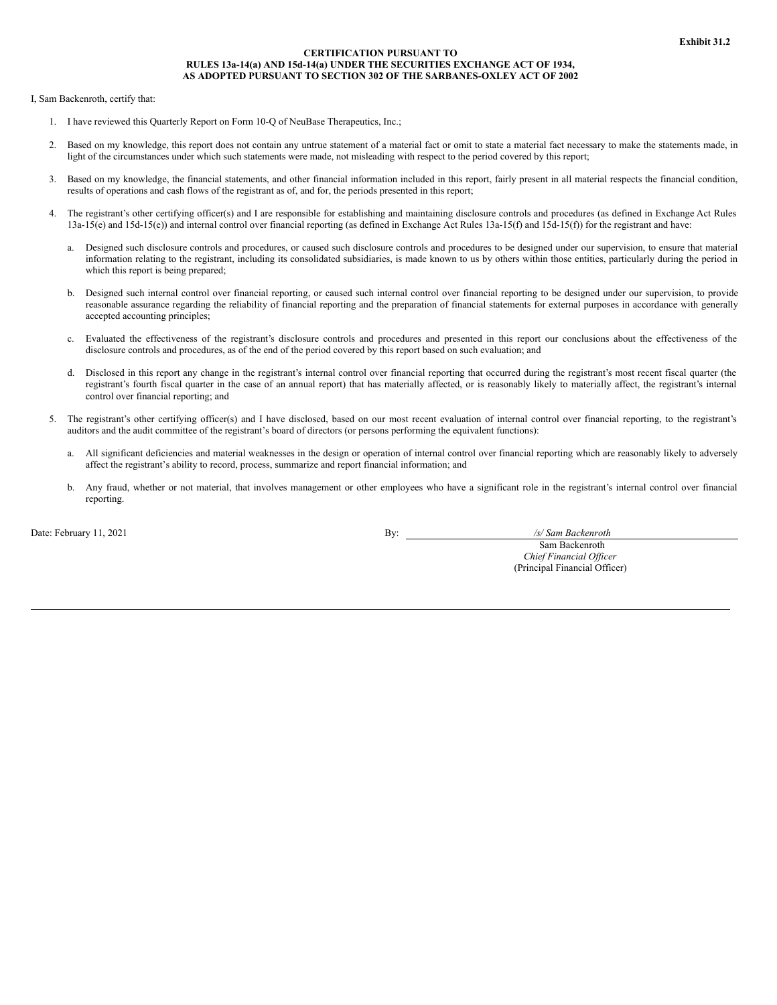# **CERTIFICATION PURSUANT TO RULES 13a-14(a) AND 15d-14(a) UNDER THE SECURITIES EXCHANGE ACT OF 1934, AS ADOPTED PURSUANT TO SECTION 302 OF THE SARBANES-OXLEY ACT OF 2002**

<span id="page-20-0"></span>I, Sam Backenroth, certify that:

- 1. I have reviewed this Quarterly Report on Form 10-Q of NeuBase Therapeutics, Inc.;
- 2. Based on my knowledge, this report does not contain any untrue statement of a material fact or omit to state a material fact necessary to make the statements made, in light of the circumstances under which such statements were made, not misleading with respect to the period covered by this report;
- 3. Based on my knowledge, the financial statements, and other financial information included in this report, fairly present in all material respects the financial condition, results of operations and cash flows of the registrant as of, and for, the periods presented in this report;
- 4. The registrant's other certifying officer(s) and I are responsible for establishing and maintaining disclosure controls and procedures (as defined in Exchange Act Rules 13a-15(e) and 15d-15(e)) and internal control over financial reporting (as defined in Exchange Act Rules 13a-15(f) and 15d-15(f)) for the registrant and have:
	- a. Designed such disclosure controls and procedures, or caused such disclosure controls and procedures to be designed under our supervision, to ensure that material information relating to the registrant, including its consolidated subsidiaries, is made known to us by others within those entities, particularly during the period in which this report is being prepared;
	- b. Designed such internal control over financial reporting, or caused such internal control over financial reporting to be designed under our supervision, to provide reasonable assurance regarding the reliability of financial reporting and the preparation of financial statements for external purposes in accordance with generally accepted accounting principles;
	- c. Evaluated the effectiveness of the registrant's disclosure controls and procedures and presented in this report our conclusions about the effectiveness of the disclosure controls and procedures, as of the end of the period covered by this report based on such evaluation; and
	- d. Disclosed in this report any change in the registrant's internal control over financial reporting that occurred during the registrant's most recent fiscal quarter (the registrant's fourth fiscal quarter in the case of an annual report) that has materially affected, or is reasonably likely to materially affect, the registrant's internal control over financial reporting; and
- 5. The registrant's other certifying officer(s) and I have disclosed, based on our most recent evaluation of internal control over financial reporting, to the registrant's auditors and the audit committee of the registrant's board of directors (or persons performing the equivalent functions):
	- a. All significant deficiencies and material weaknesses in the design or operation of internal control over financial reporting which are reasonably likely to adversely affect the registrant's ability to record, process, summarize and report financial information; and
	- b. Any fraud, whether or not material, that involves management or other employees who have a significant role in the registrant's internal control over financial reporting.

Date: February 11, 2021 By: */s/ Sam Backenroth*

Sam Backenroth *Chief Financial Of icer* (Principal Financial Officer)